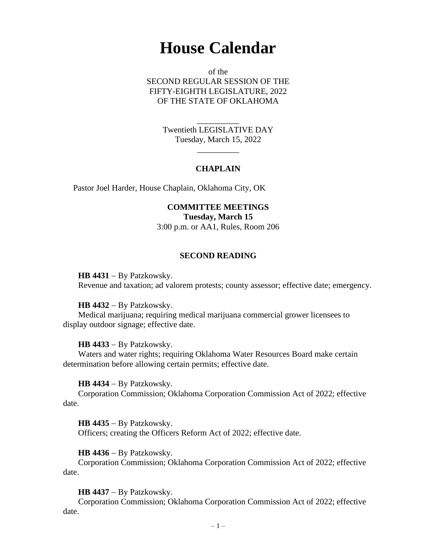# **House Calendar**

of the SECOND REGULAR SESSION OF THE FIFTY-EIGHTH LEGISLATURE, 2022 OF THE STATE OF OKLAHOMA

> Twentieth LEGISLATIVE DAY Tuesday, March 15, 2022

> > $\overline{\phantom{a}}$

\_\_\_\_\_\_\_\_\_\_

# **CHAPLAIN**

Pastor Joel Harder, House Chaplain, Oklahoma City, OK

**COMMITTEE MEETINGS Tuesday, March 15** 3:00 p.m. or AA1, Rules, Room 206

## **SECOND READING**

**HB 4431** − By Patzkowsky. Revenue and taxation; ad valorem protests; county assessor; effective date; emergency.

**HB 4432** − By Patzkowsky.

Medical marijuana; requiring medical marijuana commercial grower licensees to display outdoor signage; effective date.

**HB 4433** − By Patzkowsky.

Waters and water rights; requiring Oklahoma Water Resources Board make certain determination before allowing certain permits; effective date.

**HB 4434** − By Patzkowsky.

Corporation Commission; Oklahoma Corporation Commission Act of 2022; effective date.

**HB 4435** − By Patzkowsky. Officers; creating the Officers Reform Act of 2022; effective date.

**HB 4436** − By Patzkowsky.

Corporation Commission; Oklahoma Corporation Commission Act of 2022; effective date.

**HB 4437** − By Patzkowsky.

Corporation Commission; Oklahoma Corporation Commission Act of 2022; effective date.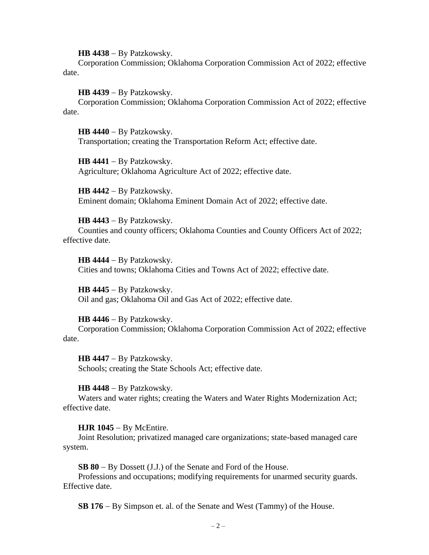**HB 4438** − By Patzkowsky.

Corporation Commission; Oklahoma Corporation Commission Act of 2022; effective date.

**HB 4439** − By Patzkowsky.

Corporation Commission; Oklahoma Corporation Commission Act of 2022; effective date.

**HB 4440** − By Patzkowsky. Transportation; creating the Transportation Reform Act; effective date.

**HB 4441** − By Patzkowsky. Agriculture; Oklahoma Agriculture Act of 2022; effective date.

**HB 4442** − By Patzkowsky. Eminent domain; Oklahoma Eminent Domain Act of 2022; effective date.

**HB 4443** − By Patzkowsky. Counties and county officers; Oklahoma Counties and County Officers Act of 2022; effective date.

**HB 4444** − By Patzkowsky. Cities and towns; Oklahoma Cities and Towns Act of 2022; effective date.

**HB 4445** − By Patzkowsky. Oil and gas; Oklahoma Oil and Gas Act of 2022; effective date.

**HB 4446** − By Patzkowsky.

Corporation Commission; Oklahoma Corporation Commission Act of 2022; effective date.

**HB 4447** − By Patzkowsky. Schools; creating the State Schools Act; effective date.

**HB 4448** − By Patzkowsky.

Waters and water rights; creating the Waters and Water Rights Modernization Act; effective date.

**HJR 1045** − By McEntire.

Joint Resolution; privatized managed care organizations; state-based managed care system.

**SB 80** − By Dossett (J.J.) of the Senate and Ford of the House.

Professions and occupations; modifying requirements for unarmed security guards. Effective date.

**SB 176** − By Simpson et. al. of the Senate and West (Tammy) of the House.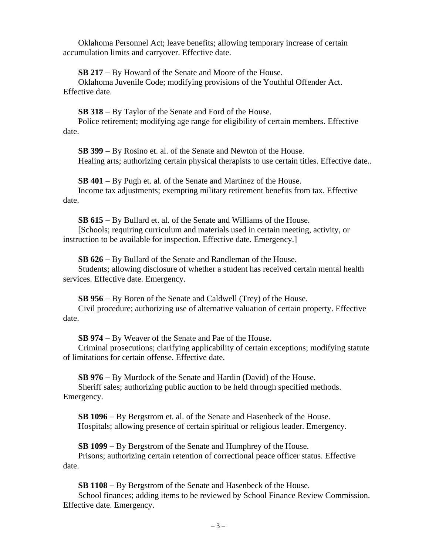Oklahoma Personnel Act; leave benefits; allowing temporary increase of certain accumulation limits and carryover. Effective date.

**SB 217** − By Howard of the Senate and Moore of the House.

Oklahoma Juvenile Code; modifying provisions of the Youthful Offender Act. Effective date.

**SB 318** − By Taylor of the Senate and Ford of the House.

Police retirement; modifying age range for eligibility of certain members. Effective date.

**SB 399** − By Rosino et. al. of the Senate and Newton of the House. Healing arts; authorizing certain physical therapists to use certain titles. Effective date..

**SB 401** − By Pugh et. al. of the Senate and Martinez of the House. Income tax adjustments; exempting military retirement benefits from tax. Effective date.

**SB 615** − By Bullard et. al. of the Senate and Williams of the House. [Schools; requiring curriculum and materials used in certain meeting, activity, or

instruction to be available for inspection. Effective date. Emergency.]

**SB 626** − By Bullard of the Senate and Randleman of the House. Students; allowing disclosure of whether a student has received certain mental health services. Effective date. Emergency.

**SB 956** − By Boren of the Senate and Caldwell (Trey) of the House. Civil procedure; authorizing use of alternative valuation of certain property. Effective date.

**SB 974** − By Weaver of the Senate and Pae of the House.

Criminal prosecutions; clarifying applicability of certain exceptions; modifying statute of limitations for certain offense. Effective date.

**SB 976** − By Murdock of the Senate and Hardin (David) of the House. Sheriff sales; authorizing public auction to be held through specified methods. Emergency.

**SB 1096** − By Bergstrom et. al. of the Senate and Hasenbeck of the House. Hospitals; allowing presence of certain spiritual or religious leader. Emergency.

**SB 1099** − By Bergstrom of the Senate and Humphrey of the House. Prisons; authorizing certain retention of correctional peace officer status. Effective date.

**SB 1108** − By Bergstrom of the Senate and Hasenbeck of the House.

School finances; adding items to be reviewed by School Finance Review Commission. Effective date. Emergency.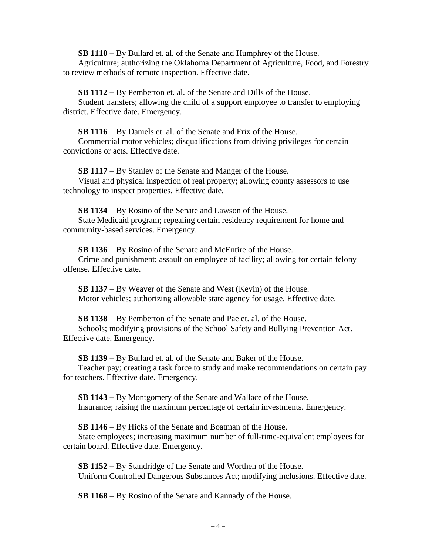**SB 1110** − By Bullard et. al. of the Senate and Humphrey of the House.

Agriculture; authorizing the Oklahoma Department of Agriculture, Food, and Forestry to review methods of remote inspection. Effective date.

**SB 1112** − By Pemberton et. al. of the Senate and Dills of the House.

Student transfers; allowing the child of a support employee to transfer to employing district. Effective date. Emergency.

**SB 1116** − By Daniels et. al. of the Senate and Frix of the House. Commercial motor vehicles; disqualifications from driving privileges for certain convictions or acts. Effective date.

**SB 1117** − By Stanley of the Senate and Manger of the House. Visual and physical inspection of real property; allowing county assessors to use technology to inspect properties. Effective date.

**SB 1134** − By Rosino of the Senate and Lawson of the House. State Medicaid program; repealing certain residency requirement for home and community-based services. Emergency.

**SB 1136** − By Rosino of the Senate and McEntire of the House. Crime and punishment; assault on employee of facility; allowing for certain felony offense. Effective date.

**SB 1137** − By Weaver of the Senate and West (Kevin) of the House. Motor vehicles; authorizing allowable state agency for usage. Effective date.

**SB 1138** − By Pemberton of the Senate and Pae et. al. of the House. Schools; modifying provisions of the School Safety and Bullying Prevention Act. Effective date. Emergency.

**SB 1139** − By Bullard et. al. of the Senate and Baker of the House. Teacher pay; creating a task force to study and make recommendations on certain pay for teachers. Effective date. Emergency.

**SB 1143** − By Montgomery of the Senate and Wallace of the House. Insurance; raising the maximum percentage of certain investments. Emergency.

**SB 1146** − By Hicks of the Senate and Boatman of the House. State employees; increasing maximum number of full-time-equivalent employees for certain board. Effective date. Emergency.

**SB 1152** − By Standridge of the Senate and Worthen of the House. Uniform Controlled Dangerous Substances Act; modifying inclusions. Effective date.

**SB 1168** − By Rosino of the Senate and Kannady of the House.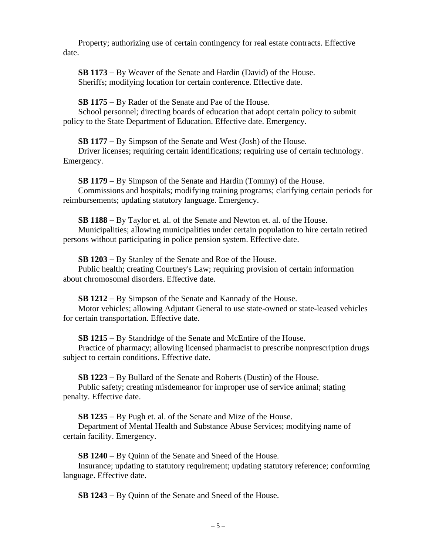Property; authorizing use of certain contingency for real estate contracts. Effective date.

**SB 1173** − By Weaver of the Senate and Hardin (David) of the House. Sheriffs; modifying location for certain conference. Effective date.

**SB 1175** − By Rader of the Senate and Pae of the House.

School personnel; directing boards of education that adopt certain policy to submit policy to the State Department of Education. Effective date. Emergency.

**SB 1177** − By Simpson of the Senate and West (Josh) of the House.

Driver licenses; requiring certain identifications; requiring use of certain technology. Emergency.

**SB 1179** − By Simpson of the Senate and Hardin (Tommy) of the House. Commissions and hospitals; modifying training programs; clarifying certain periods for reimbursements; updating statutory language. Emergency.

**SB 1188** − By Taylor et. al. of the Senate and Newton et. al. of the House. Municipalities; allowing municipalities under certain population to hire certain retired persons without participating in police pension system. Effective date.

**SB 1203** − By Stanley of the Senate and Roe of the House. Public health; creating Courtney's Law; requiring provision of certain information about chromosomal disorders. Effective date.

**SB 1212** − By Simpson of the Senate and Kannady of the House. Motor vehicles; allowing Adjutant General to use state-owned or state-leased vehicles for certain transportation. Effective date.

**SB 1215** − By Standridge of the Senate and McEntire of the House.

Practice of pharmacy; allowing licensed pharmacist to prescribe nonprescription drugs subject to certain conditions. Effective date.

**SB 1223** − By Bullard of the Senate and Roberts (Dustin) of the House.

Public safety; creating misdemeanor for improper use of service animal; stating penalty. Effective date.

**SB 1235** − By Pugh et. al. of the Senate and Mize of the House.

Department of Mental Health and Substance Abuse Services; modifying name of certain facility. Emergency.

**SB 1240** − By Quinn of the Senate and Sneed of the House.

Insurance; updating to statutory requirement; updating statutory reference; conforming language. Effective date.

**SB 1243** − By Quinn of the Senate and Sneed of the House.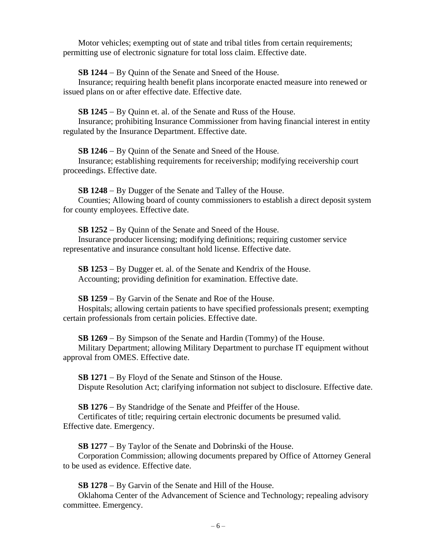Motor vehicles; exempting out of state and tribal titles from certain requirements; permitting use of electronic signature for total loss claim. Effective date.

**SB 1244** − By Quinn of the Senate and Sneed of the House.

Insurance; requiring health benefit plans incorporate enacted measure into renewed or issued plans on or after effective date. Effective date.

**SB 1245** − By Quinn et. al. of the Senate and Russ of the House.

Insurance; prohibiting Insurance Commissioner from having financial interest in entity regulated by the Insurance Department. Effective date.

**SB 1246** − By Quinn of the Senate and Sneed of the House.

Insurance; establishing requirements for receivership; modifying receivership court proceedings. Effective date.

**SB 1248** − By Dugger of the Senate and Talley of the House.

Counties; Allowing board of county commissioners to establish a direct deposit system for county employees. Effective date.

**SB 1252** − By Quinn of the Senate and Sneed of the House. Insurance producer licensing; modifying definitions; requiring customer service

representative and insurance consultant hold license. Effective date.

**SB 1253** − By Dugger et. al. of the Senate and Kendrix of the House. Accounting; providing definition for examination. Effective date.

**SB 1259** − By Garvin of the Senate and Roe of the House.

Hospitals; allowing certain patients to have specified professionals present; exempting certain professionals from certain policies. Effective date.

**SB 1269** − By Simpson of the Senate and Hardin (Tommy) of the House. Military Department; allowing Military Department to purchase IT equipment without approval from OMES. Effective date.

**SB 1271** − By Floyd of the Senate and Stinson of the House. Dispute Resolution Act; clarifying information not subject to disclosure. Effective date.

**SB 1276** − By Standridge of the Senate and Pfeiffer of the House. Certificates of title; requiring certain electronic documents be presumed valid. Effective date. Emergency.

**SB 1277** − By Taylor of the Senate and Dobrinski of the House.

Corporation Commission; allowing documents prepared by Office of Attorney General to be used as evidence. Effective date.

**SB 1278** − By Garvin of the Senate and Hill of the House.

Oklahoma Center of the Advancement of Science and Technology; repealing advisory committee. Emergency.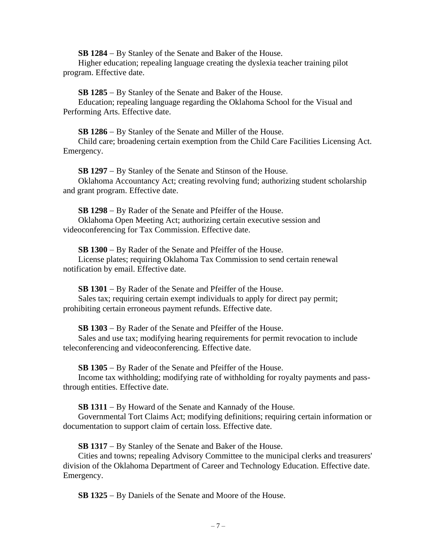**SB 1284** − By Stanley of the Senate and Baker of the House.

Higher education; repealing language creating the dyslexia teacher training pilot program. Effective date.

**SB 1285** − By Stanley of the Senate and Baker of the House.

Education; repealing language regarding the Oklahoma School for the Visual and Performing Arts. Effective date.

**SB 1286** − By Stanley of the Senate and Miller of the House. Child care; broadening certain exemption from the Child Care Facilities Licensing Act. Emergency.

**SB 1297** − By Stanley of the Senate and Stinson of the House. Oklahoma Accountancy Act; creating revolving fund; authorizing student scholarship and grant program. Effective date.

**SB 1298** − By Rader of the Senate and Pfeiffer of the House. Oklahoma Open Meeting Act; authorizing certain executive session and videoconferencing for Tax Commission. Effective date.

**SB 1300** − By Rader of the Senate and Pfeiffer of the House. License plates; requiring Oklahoma Tax Commission to send certain renewal notification by email. Effective date.

**SB 1301** − By Rader of the Senate and Pfeiffer of the House.

Sales tax; requiring certain exempt individuals to apply for direct pay permit; prohibiting certain erroneous payment refunds. Effective date.

**SB 1303** − By Rader of the Senate and Pfeiffer of the House.

Sales and use tax; modifying hearing requirements for permit revocation to include teleconferencing and videoconferencing. Effective date.

**SB 1305** − By Rader of the Senate and Pfeiffer of the House.

Income tax withholding; modifying rate of withholding for royalty payments and passthrough entities. Effective date.

**SB 1311** − By Howard of the Senate and Kannady of the House.

Governmental Tort Claims Act; modifying definitions; requiring certain information or documentation to support claim of certain loss. Effective date.

**SB 1317** − By Stanley of the Senate and Baker of the House.

Cities and towns; repealing Advisory Committee to the municipal clerks and treasurers' division of the Oklahoma Department of Career and Technology Education. Effective date. Emergency.

**SB 1325** − By Daniels of the Senate and Moore of the House.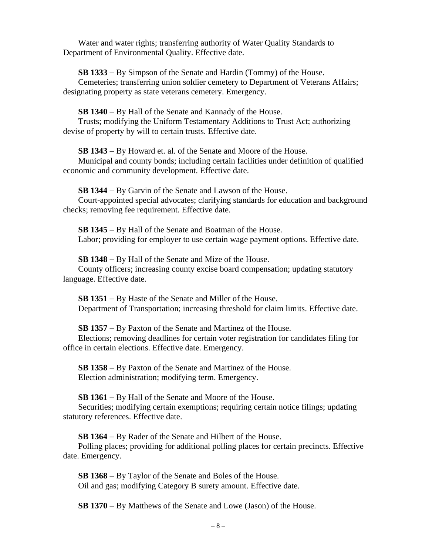Water and water rights; transferring authority of Water Quality Standards to Department of Environmental Quality. Effective date.

**SB 1333** − By Simpson of the Senate and Hardin (Tommy) of the House.

Cemeteries; transferring union soldier cemetery to Department of Veterans Affairs; designating property as state veterans cemetery. Emergency.

**SB 1340** − By Hall of the Senate and Kannady of the House.

Trusts; modifying the Uniform Testamentary Additions to Trust Act; authorizing devise of property by will to certain trusts. Effective date.

**SB 1343** − By Howard et. al. of the Senate and Moore of the House.

Municipal and county bonds; including certain facilities under definition of qualified economic and community development. Effective date.

**SB 1344** − By Garvin of the Senate and Lawson of the House.

Court-appointed special advocates; clarifying standards for education and background checks; removing fee requirement. Effective date.

**SB 1345** − By Hall of the Senate and Boatman of the House. Labor; providing for employer to use certain wage payment options. Effective date.

**SB 1348** − By Hall of the Senate and Mize of the House. County officers; increasing county excise board compensation; updating statutory language. Effective date.

**SB 1351** − By Haste of the Senate and Miller of the House. Department of Transportation; increasing threshold for claim limits. Effective date.

**SB 1357** − By Paxton of the Senate and Martinez of the House. Elections; removing deadlines for certain voter registration for candidates filing for office in certain elections. Effective date. Emergency.

**SB 1358** − By Paxton of the Senate and Martinez of the House. Election administration; modifying term. Emergency.

**SB 1361** − By Hall of the Senate and Moore of the House. Securities; modifying certain exemptions; requiring certain notice filings; updating statutory references. Effective date.

**SB 1364** − By Rader of the Senate and Hilbert of the House.

Polling places; providing for additional polling places for certain precincts. Effective date. Emergency.

**SB 1368** − By Taylor of the Senate and Boles of the House. Oil and gas; modifying Category B surety amount. Effective date.

**SB 1370** − By Matthews of the Senate and Lowe (Jason) of the House.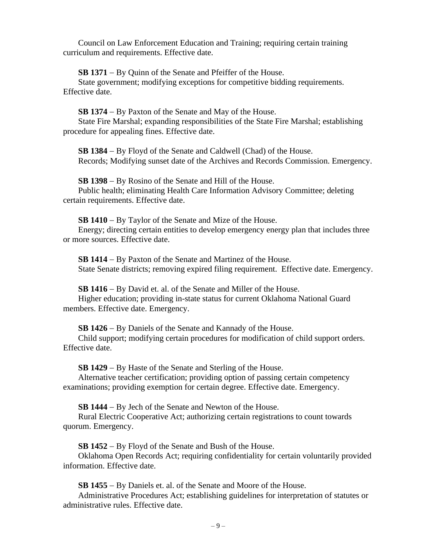Council on Law Enforcement Education and Training; requiring certain training curriculum and requirements. Effective date.

**SB 1371** − By Quinn of the Senate and Pfeiffer of the House.

State government; modifying exceptions for competitive bidding requirements. Effective date.

**SB 1374** − By Paxton of the Senate and May of the House.

State Fire Marshal; expanding responsibilities of the State Fire Marshal; establishing procedure for appealing fines. Effective date.

**SB 1384** − By Floyd of the Senate and Caldwell (Chad) of the House. Records; Modifying sunset date of the Archives and Records Commission. Emergency.

**SB 1398** − By Rosino of the Senate and Hill of the House. Public health; eliminating Health Care Information Advisory Committee; deleting certain requirements. Effective date.

**SB 1410** − By Taylor of the Senate and Mize of the House.

Energy; directing certain entities to develop emergency energy plan that includes three or more sources. Effective date.

**SB 1414** − By Paxton of the Senate and Martinez of the House. State Senate districts; removing expired filing requirement. Effective date. Emergency.

**SB 1416** − By David et. al. of the Senate and Miller of the House.

Higher education; providing in-state status for current Oklahoma National Guard members. Effective date. Emergency.

**SB 1426** − By Daniels of the Senate and Kannady of the House.

Child support; modifying certain procedures for modification of child support orders. Effective date.

**SB 1429** − By Haste of the Senate and Sterling of the House.

Alternative teacher certification; providing option of passing certain competency examinations; providing exemption for certain degree. Effective date. Emergency.

**SB 1444** − By Jech of the Senate and Newton of the House.

Rural Electric Cooperative Act; authorizing certain registrations to count towards quorum. Emergency.

**SB 1452** − By Floyd of the Senate and Bush of the House.

Oklahoma Open Records Act; requiring confidentiality for certain voluntarily provided information. Effective date.

**SB 1455** − By Daniels et. al. of the Senate and Moore of the House.

Administrative Procedures Act; establishing guidelines for interpretation of statutes or administrative rules. Effective date.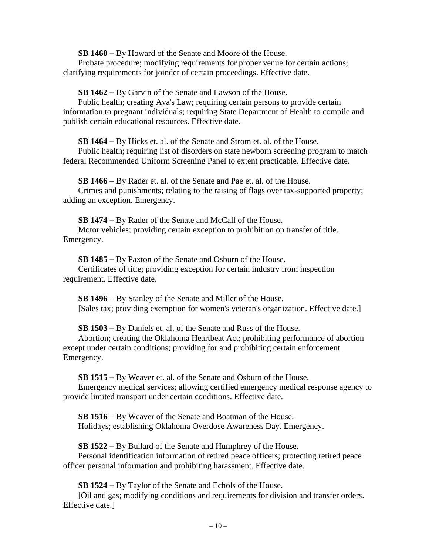**SB 1460** − By Howard of the Senate and Moore of the House.

Probate procedure; modifying requirements for proper venue for certain actions; clarifying requirements for joinder of certain proceedings. Effective date.

**SB 1462** − By Garvin of the Senate and Lawson of the House.

Public health; creating Ava's Law; requiring certain persons to provide certain information to pregnant individuals; requiring State Department of Health to compile and publish certain educational resources. Effective date.

**SB 1464** − By Hicks et. al. of the Senate and Strom et. al. of the House.

Public health; requiring list of disorders on state newborn screening program to match federal Recommended Uniform Screening Panel to extent practicable. Effective date.

**SB 1466** − By Rader et. al. of the Senate and Pae et. al. of the House.

Crimes and punishments; relating to the raising of flags over tax-supported property; adding an exception. Emergency.

**SB 1474** − By Rader of the Senate and McCall of the House. Motor vehicles; providing certain exception to prohibition on transfer of title. Emergency.

**SB 1485** − By Paxton of the Senate and Osburn of the House. Certificates of title; providing exception for certain industry from inspection requirement. Effective date.

**SB 1496** − By Stanley of the Senate and Miller of the House. [Sales tax; providing exemption for women's veteran's organization. Effective date.]

**SB 1503** − By Daniels et. al. of the Senate and Russ of the House.

Abortion; creating the Oklahoma Heartbeat Act; prohibiting performance of abortion except under certain conditions; providing for and prohibiting certain enforcement. Emergency.

**SB 1515** − By Weaver et. al. of the Senate and Osburn of the House.

Emergency medical services; allowing certified emergency medical response agency to provide limited transport under certain conditions. Effective date.

**SB 1516** − By Weaver of the Senate and Boatman of the House. Holidays; establishing Oklahoma Overdose Awareness Day. Emergency.

**SB 1522** − By Bullard of the Senate and Humphrey of the House.

Personal identification information of retired peace officers; protecting retired peace officer personal information and prohibiting harassment. Effective date.

**SB 1524** − By Taylor of the Senate and Echols of the House.

[Oil and gas; modifying conditions and requirements for division and transfer orders. Effective date.]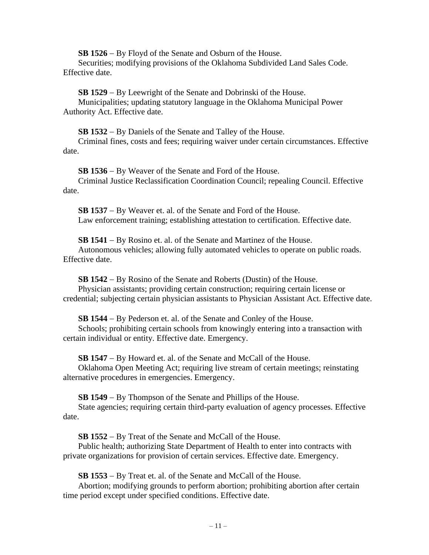**SB 1526** − By Floyd of the Senate and Osburn of the House.

Securities; modifying provisions of the Oklahoma Subdivided Land Sales Code. Effective date.

**SB 1529** − By Leewright of the Senate and Dobrinski of the House. Municipalities; updating statutory language in the Oklahoma Municipal Power Authority Act. Effective date.

**SB 1532** − By Daniels of the Senate and Talley of the House.

Criminal fines, costs and fees; requiring waiver under certain circumstances. Effective date.

**SB 1536** − By Weaver of the Senate and Ford of the House. Criminal Justice Reclassification Coordination Council; repealing Council. Effective date.

**SB 1537** − By Weaver et. al. of the Senate and Ford of the House. Law enforcement training; establishing attestation to certification. Effective date.

**SB 1541** − By Rosino et. al. of the Senate and Martinez of the House.

Autonomous vehicles; allowing fully automated vehicles to operate on public roads. Effective date.

**SB 1542** − By Rosino of the Senate and Roberts (Dustin) of the House. Physician assistants; providing certain construction; requiring certain license or credential; subjecting certain physician assistants to Physician Assistant Act. Effective date.

**SB 1544** − By Pederson et. al. of the Senate and Conley of the House.

Schools; prohibiting certain schools from knowingly entering into a transaction with certain individual or entity. Effective date. Emergency.

**SB 1547** − By Howard et. al. of the Senate and McCall of the House.

Oklahoma Open Meeting Act; requiring live stream of certain meetings; reinstating alternative procedures in emergencies. Emergency.

**SB 1549** − By Thompson of the Senate and Phillips of the House.

State agencies; requiring certain third-party evaluation of agency processes. Effective date.

**SB 1552** − By Treat of the Senate and McCall of the House.

Public health; authorizing State Department of Health to enter into contracts with private organizations for provision of certain services. Effective date. Emergency.

**SB 1553** − By Treat et. al. of the Senate and McCall of the House.

Abortion; modifying grounds to perform abortion; prohibiting abortion after certain time period except under specified conditions. Effective date.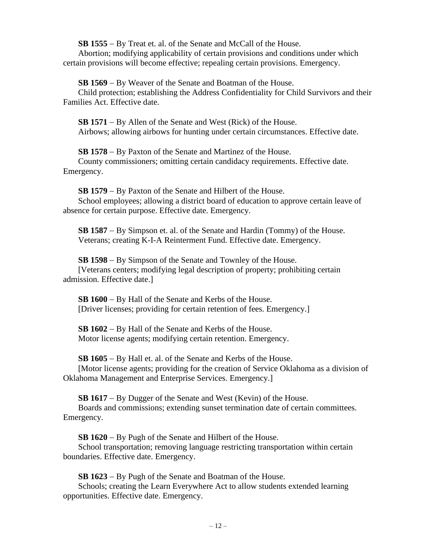**SB 1555** − By Treat et. al. of the Senate and McCall of the House.

Abortion; modifying applicability of certain provisions and conditions under which certain provisions will become effective; repealing certain provisions. Emergency.

**SB 1569** − By Weaver of the Senate and Boatman of the House.

Child protection; establishing the Address Confidentiality for Child Survivors and their Families Act. Effective date.

**SB 1571** − By Allen of the Senate and West (Rick) of the House. Airbows; allowing airbows for hunting under certain circumstances. Effective date.

**SB 1578** − By Paxton of the Senate and Martinez of the House. County commissioners; omitting certain candidacy requirements. Effective date. Emergency.

**SB 1579** − By Paxton of the Senate and Hilbert of the House. School employees; allowing a district board of education to approve certain leave of absence for certain purpose. Effective date. Emergency.

**SB 1587** − By Simpson et. al. of the Senate and Hardin (Tommy) of the House. Veterans; creating K-I-A Reinterment Fund. Effective date. Emergency.

**SB 1598** − By Simpson of the Senate and Townley of the House. [Veterans centers; modifying legal description of property; prohibiting certain admission. Effective date.]

**SB 1600** − By Hall of the Senate and Kerbs of the House. [Driver licenses; providing for certain retention of fees. Emergency.]

**SB 1602** − By Hall of the Senate and Kerbs of the House. Motor license agents; modifying certain retention. Emergency.

**SB 1605** − By Hall et. al. of the Senate and Kerbs of the House. [Motor license agents; providing for the creation of Service Oklahoma as a division of Oklahoma Management and Enterprise Services. Emergency.]

**SB 1617** − By Dugger of the Senate and West (Kevin) of the House. Boards and commissions; extending sunset termination date of certain committees. Emergency.

**SB 1620** − By Pugh of the Senate and Hilbert of the House.

School transportation; removing language restricting transportation within certain boundaries. Effective date. Emergency.

**SB 1623** − By Pugh of the Senate and Boatman of the House.

Schools; creating the Learn Everywhere Act to allow students extended learning opportunities. Effective date. Emergency.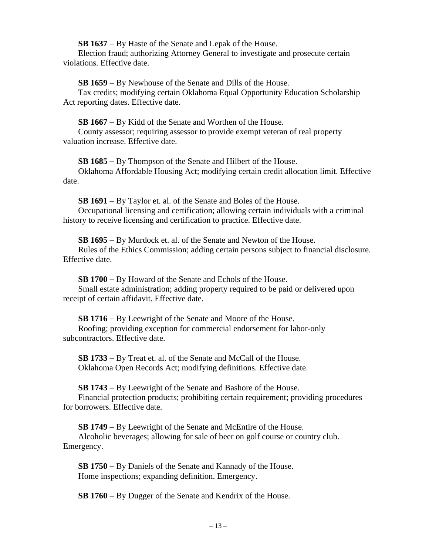**SB 1637** − By Haste of the Senate and Lepak of the House.

Election fraud; authorizing Attorney General to investigate and prosecute certain violations. Effective date.

**SB 1659** − By Newhouse of the Senate and Dills of the House.

Tax credits; modifying certain Oklahoma Equal Opportunity Education Scholarship Act reporting dates. Effective date.

**SB 1667** − By Kidd of the Senate and Worthen of the House.

County assessor; requiring assessor to provide exempt veteran of real property valuation increase. Effective date.

**SB 1685** − By Thompson of the Senate and Hilbert of the House.

Oklahoma Affordable Housing Act; modifying certain credit allocation limit. Effective date.

**SB 1691** − By Taylor et. al. of the Senate and Boles of the House. Occupational licensing and certification; allowing certain individuals with a criminal history to receive licensing and certification to practice. Effective date.

**SB 1695** − By Murdock et. al. of the Senate and Newton of the House. Rules of the Ethics Commission; adding certain persons subject to financial disclosure. Effective date.

**SB 1700** − By Howard of the Senate and Echols of the House. Small estate administration; adding property required to be paid or delivered upon receipt of certain affidavit. Effective date.

**SB 1716** − By Leewright of the Senate and Moore of the House. Roofing; providing exception for commercial endorsement for labor-only subcontractors. Effective date.

**SB 1733** − By Treat et. al. of the Senate and McCall of the House. Oklahoma Open Records Act; modifying definitions. Effective date.

**SB 1743** − By Leewright of the Senate and Bashore of the House. Financial protection products; prohibiting certain requirement; providing procedures for borrowers. Effective date.

**SB 1749** − By Leewright of the Senate and McEntire of the House. Alcoholic beverages; allowing for sale of beer on golf course or country club. Emergency.

**SB 1750** − By Daniels of the Senate and Kannady of the House. Home inspections; expanding definition. Emergency.

**SB 1760** − By Dugger of the Senate and Kendrix of the House.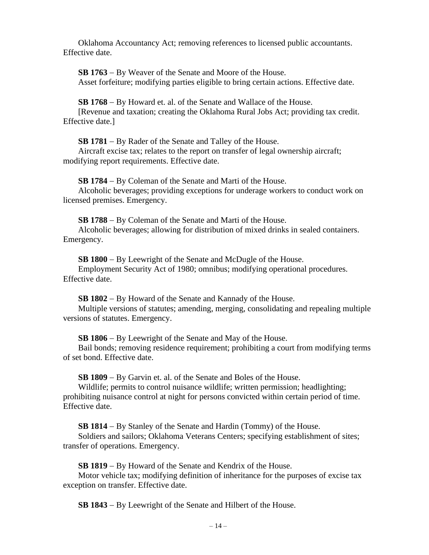Oklahoma Accountancy Act; removing references to licensed public accountants. Effective date.

**SB 1763** − By Weaver of the Senate and Moore of the House. Asset forfeiture; modifying parties eligible to bring certain actions. Effective date.

**SB 1768** − By Howard et. al. of the Senate and Wallace of the House. [Revenue and taxation; creating the Oklahoma Rural Jobs Act; providing tax credit. Effective date.]

**SB 1781** − By Rader of the Senate and Talley of the House.

Aircraft excise tax; relates to the report on transfer of legal ownership aircraft; modifying report requirements. Effective date.

**SB 1784** − By Coleman of the Senate and Marti of the House.

Alcoholic beverages; providing exceptions for underage workers to conduct work on licensed premises. Emergency.

**SB 1788** − By Coleman of the Senate and Marti of the House. Alcoholic beverages; allowing for distribution of mixed drinks in sealed containers. Emergency.

**SB 1800** − By Leewright of the Senate and McDugle of the House. Employment Security Act of 1980; omnibus; modifying operational procedures. Effective date.

**SB 1802** − By Howard of the Senate and Kannady of the House. Multiple versions of statutes; amending, merging, consolidating and repealing multiple versions of statutes. Emergency.

**SB 1806** − By Leewright of the Senate and May of the House.

Bail bonds; removing residence requirement; prohibiting a court from modifying terms of set bond. Effective date.

**SB 1809** − By Garvin et. al. of the Senate and Boles of the House.

Wildlife; permits to control nuisance wildlife; written permission; headlighting; prohibiting nuisance control at night for persons convicted within certain period of time. Effective date.

**SB 1814** − By Stanley of the Senate and Hardin (Tommy) of the House.

Soldiers and sailors; Oklahoma Veterans Centers; specifying establishment of sites; transfer of operations. Emergency.

**SB 1819** − By Howard of the Senate and Kendrix of the House.

Motor vehicle tax; modifying definition of inheritance for the purposes of excise tax exception on transfer. Effective date.

**SB 1843** − By Leewright of the Senate and Hilbert of the House.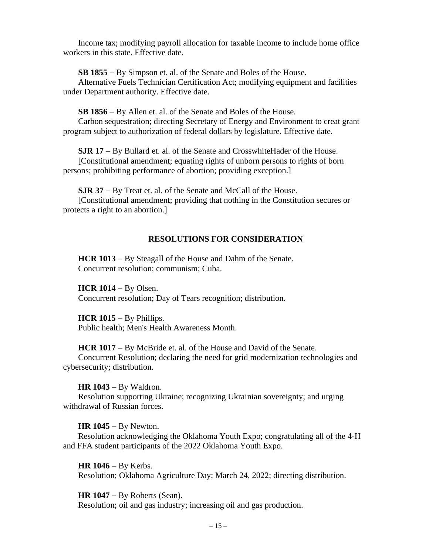Income tax; modifying payroll allocation for taxable income to include home office workers in this state. Effective date.

**SB 1855** − By Simpson et. al. of the Senate and Boles of the House.

Alternative Fuels Technician Certification Act; modifying equipment and facilities under Department authority. Effective date.

**SB 1856** − By Allen et. al. of the Senate and Boles of the House.

Carbon sequestration; directing Secretary of Energy and Environment to creat grant program subject to authorization of federal dollars by legislature. Effective date.

**SJR 17** − By Bullard et. al. of the Senate and CrosswhiteHader of the House. [Constitutional amendment; equating rights of unborn persons to rights of born persons; prohibiting performance of abortion; providing exception.]

**SJR 37** − By Treat et. al. of the Senate and McCall of the House.

[Constitutional amendment; providing that nothing in the Constitution secures or protects a right to an abortion.]

# **RESOLUTIONS FOR CONSIDERATION**

**HCR 1013** − By Steagall of the House and Dahm of the Senate. Concurrent resolution; communism; Cuba.

**HCR 1014** − By Olsen. Concurrent resolution; Day of Tears recognition; distribution.

**HCR 1015** − By Phillips. Public health; Men's Health Awareness Month.

**HCR 1017** − By McBride et. al. of the House and David of the Senate.

Concurrent Resolution; declaring the need for grid modernization technologies and cybersecurity; distribution.

**HR 1043** − By Waldron.

Resolution supporting Ukraine; recognizing Ukrainian sovereignty; and urging withdrawal of Russian forces.

**HR 1045** − By Newton.

Resolution acknowledging the Oklahoma Youth Expo; congratulating all of the 4-H and FFA student participants of the 2022 Oklahoma Youth Expo.

**HR 1046** − By Kerbs. Resolution; Oklahoma Agriculture Day; March 24, 2022; directing distribution.

**HR 1047** − By Roberts (Sean). Resolution; oil and gas industry; increasing oil and gas production.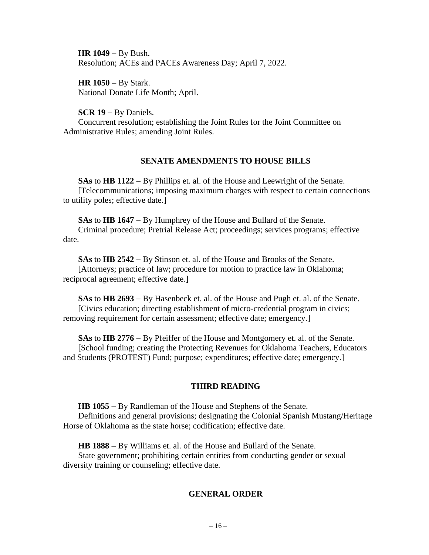**HR 1049** − By Bush. Resolution; ACEs and PACEs Awareness Day; April 7, 2022.

**HR 1050** − By Stark. National Donate Life Month; April.

**SCR 19** − By Daniels.

Concurrent resolution; establishing the Joint Rules for the Joint Committee on Administrative Rules; amending Joint Rules.

## **SENATE AMENDMENTS TO HOUSE BILLS**

**SAs** to **HB 1122** − By Phillips et. al. of the House and Leewright of the Senate. [Telecommunications; imposing maximum charges with respect to certain connections to utility poles; effective date.]

**SAs** to **HB 1647** − By Humphrey of the House and Bullard of the Senate. Criminal procedure; Pretrial Release Act; proceedings; services programs; effective date.

**SAs** to **HB 2542** − By Stinson et. al. of the House and Brooks of the Senate. [Attorneys; practice of law; procedure for motion to practice law in Oklahoma; reciprocal agreement; effective date.]

**SAs** to **HB 2693** − By Hasenbeck et. al. of the House and Pugh et. al. of the Senate. [Civics education; directing establishment of micro-credential program in civics; removing requirement for certain assessment; effective date; emergency.]

**SAs** to **HB 2776** − By Pfeiffer of the House and Montgomery et. al. of the Senate. [School funding; creating the Protecting Revenues for Oklahoma Teachers, Educators and Students (PROTEST) Fund; purpose; expenditures; effective date; emergency.]

# **THIRD READING**

**HB 1055** − By Randleman of the House and Stephens of the Senate. Definitions and general provisions; designating the Colonial Spanish Mustang/Heritage Horse of Oklahoma as the state horse; codification; effective date.

**HB 1888** − By Williams et. al. of the House and Bullard of the Senate.

State government; prohibiting certain entities from conducting gender or sexual diversity training or counseling; effective date.

# **GENERAL ORDER**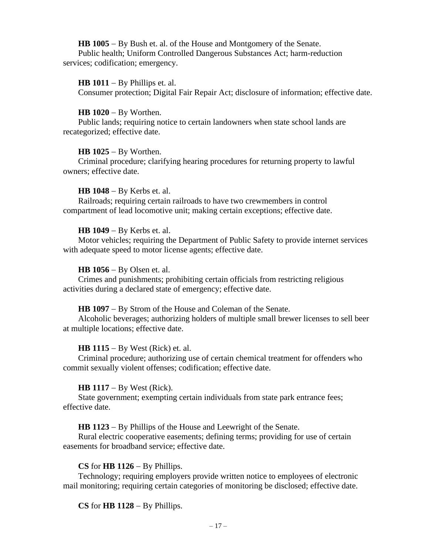**HB 1005** − By Bush et. al. of the House and Montgomery of the Senate. Public health; Uniform Controlled Dangerous Substances Act; harm-reduction services; codification; emergency.

## **HB 1011** − By Phillips et. al.

Consumer protection; Digital Fair Repair Act; disclosure of information; effective date.

**HB 1020** − By Worthen.

Public lands; requiring notice to certain landowners when state school lands are recategorized; effective date.

## **HB 1025** − By Worthen.

Criminal procedure; clarifying hearing procedures for returning property to lawful owners; effective date.

#### **HB 1048** − By Kerbs et. al.

Railroads; requiring certain railroads to have two crewmembers in control compartment of lead locomotive unit; making certain exceptions; effective date.

#### **HB 1049** − By Kerbs et. al.

Motor vehicles; requiring the Department of Public Safety to provide internet services with adequate speed to motor license agents; effective date.

## **HB 1056** − By Olsen et. al.

Crimes and punishments; prohibiting certain officials from restricting religious activities during a declared state of emergency; effective date.

#### **HB 1097** − By Strom of the House and Coleman of the Senate.

Alcoholic beverages; authorizing holders of multiple small brewer licenses to sell beer at multiple locations; effective date.

#### **HB 1115** − By West (Rick) et. al.

Criminal procedure; authorizing use of certain chemical treatment for offenders who commit sexually violent offenses; codification; effective date.

#### **HB 1117** − By West (Rick).

State government; exempting certain individuals from state park entrance fees; effective date.

**HB 1123** − By Phillips of the House and Leewright of the Senate.

Rural electric cooperative easements; defining terms; providing for use of certain easements for broadband service; effective date.

# **CS** for **HB 1126** − By Phillips.

Technology; requiring employers provide written notice to employees of electronic mail monitoring; requiring certain categories of monitoring be disclosed; effective date.

# **CS** for **HB 1128** − By Phillips.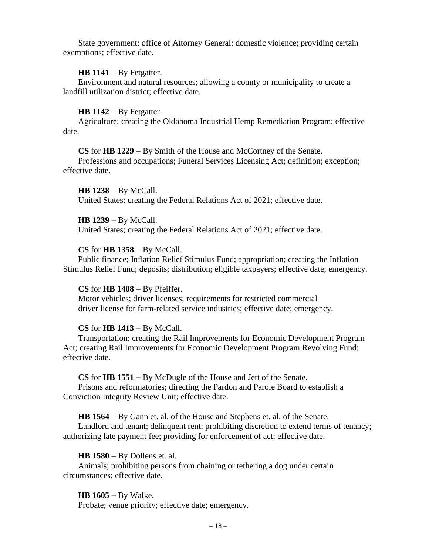State government; office of Attorney General; domestic violence; providing certain exemptions; effective date.

## **HB 1141** − By Fetgatter.

Environment and natural resources; allowing a county or municipality to create a landfill utilization district; effective date.

#### **HB 1142** − By Fetgatter.

Agriculture; creating the Oklahoma Industrial Hemp Remediation Program; effective date.

## **CS** for **HB 1229** − By Smith of the House and McCortney of the Senate.

Professions and occupations; Funeral Services Licensing Act; definition; exception; effective date.

**HB 1238** − By McCall. United States; creating the Federal Relations Act of 2021; effective date.

## **HB 1239** − By McCall.

United States; creating the Federal Relations Act of 2021; effective date.

## **CS** for **HB 1358** − By McCall.

Public finance; Inflation Relief Stimulus Fund; appropriation; creating the Inflation Stimulus Relief Fund; deposits; distribution; eligible taxpayers; effective date; emergency.

#### **CS** for **HB 1408** − By Pfeiffer.

Motor vehicles; driver licenses; requirements for restricted commercial driver license for farm-related service industries; effective date; emergency.

## **CS** for **HB 1413** − By McCall.

Transportation; creating the Rail Improvements for Economic Development Program Act; creating Rail Improvements for Economic Development Program Revolving Fund; effective date.

## **CS** for **HB 1551** − By McDugle of the House and Jett of the Senate.

Prisons and reformatories; directing the Pardon and Parole Board to establish a Conviction Integrity Review Unit; effective date.

**HB 1564** − By Gann et. al. of the House and Stephens et. al. of the Senate.

Landlord and tenant; delinquent rent; prohibiting discretion to extend terms of tenancy; authorizing late payment fee; providing for enforcement of act; effective date.

## **HB 1580** − By Dollens et. al.

Animals; prohibiting persons from chaining or tethering a dog under certain circumstances; effective date.

#### **HB 1605** − By Walke.

Probate; venue priority; effective date; emergency.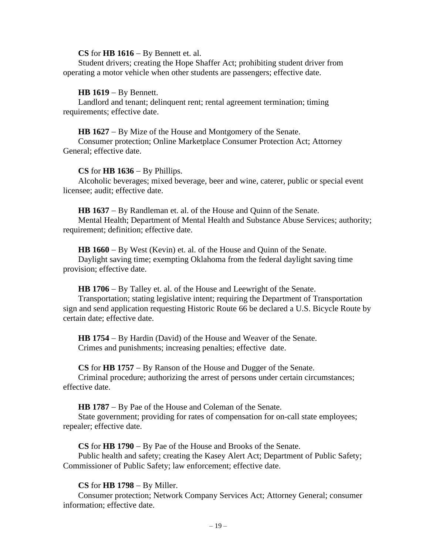#### **CS** for **HB 1616** − By Bennett et. al.

Student drivers; creating the Hope Shaffer Act; prohibiting student driver from operating a motor vehicle when other students are passengers; effective date.

### **HB 1619** − By Bennett.

Landlord and tenant; delinquent rent; rental agreement termination; timing requirements; effective date.

**HB 1627** − By Mize of the House and Montgomery of the Senate.

Consumer protection; Online Marketplace Consumer Protection Act; Attorney General; effective date.

#### **CS** for **HB 1636** − By Phillips.

Alcoholic beverages; mixed beverage, beer and wine, caterer, public or special event licensee; audit; effective date.

**HB 1637** − By Randleman et. al. of the House and Quinn of the Senate. Mental Health; Department of Mental Health and Substance Abuse Services; authority; requirement; definition; effective date.

**HB 1660** − By West (Kevin) et. al. of the House and Quinn of the Senate. Daylight saving time; exempting Oklahoma from the federal daylight saving time provision; effective date.

**HB 1706** − By Talley et. al. of the House and Leewright of the Senate.

Transportation; stating legislative intent; requiring the Department of Transportation sign and send application requesting Historic Route 66 be declared a U.S. Bicycle Route by certain date; effective date.

**HB 1754** − By Hardin (David) of the House and Weaver of the Senate. Crimes and punishments; increasing penalties; effective date.

**CS** for **HB 1757** − By Ranson of the House and Dugger of the Senate.

Criminal procedure; authorizing the arrest of persons under certain circumstances; effective date.

**HB 1787** − By Pae of the House and Coleman of the Senate.

State government; providing for rates of compensation for on-call state employees; repealer; effective date.

**CS** for **HB 1790** − By Pae of the House and Brooks of the Senate.

Public health and safety; creating the Kasey Alert Act; Department of Public Safety; Commissioner of Public Safety; law enforcement; effective date.

#### **CS** for **HB 1798** − By Miller.

Consumer protection; Network Company Services Act; Attorney General; consumer information; effective date.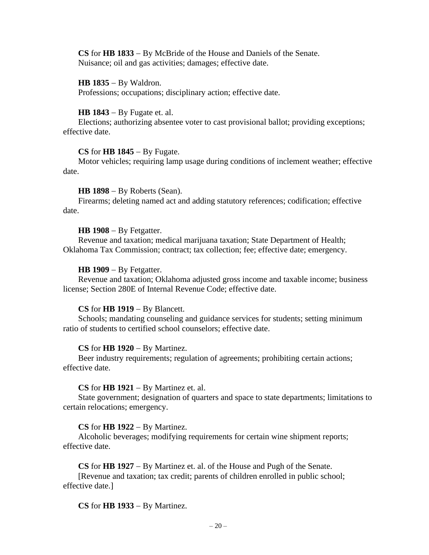**CS** for **HB 1833** − By McBride of the House and Daniels of the Senate. Nuisance; oil and gas activities; damages; effective date.

**HB 1835** − By Waldron. Professions; occupations; disciplinary action; effective date.

#### **HB 1843** − By Fugate et. al.

Elections; authorizing absentee voter to cast provisional ballot; providing exceptions; effective date.

# **CS** for **HB 1845** − By Fugate.

Motor vehicles; requiring lamp usage during conditions of inclement weather; effective date.

#### **HB 1898** − By Roberts (Sean).

Firearms; deleting named act and adding statutory references; codification; effective date.

#### **HB 1908** − By Fetgatter.

Revenue and taxation; medical marijuana taxation; State Department of Health; Oklahoma Tax Commission; contract; tax collection; fee; effective date; emergency.

#### **HB 1909** − By Fetgatter.

Revenue and taxation; Oklahoma adjusted gross income and taxable income; business license; Section 280E of Internal Revenue Code; effective date.

#### **CS** for **HB 1919** − By Blancett.

Schools; mandating counseling and guidance services for students; setting minimum ratio of students to certified school counselors; effective date.

#### **CS** for **HB 1920** − By Martinez.

Beer industry requirements; regulation of agreements; prohibiting certain actions; effective date.

#### **CS** for **HB 1921** − By Martinez et. al.

State government; designation of quarters and space to state departments; limitations to certain relocations; emergency.

# **CS** for **HB 1922** − By Martinez.

Alcoholic beverages; modifying requirements for certain wine shipment reports; effective date.

## **CS** for **HB 1927** − By Martinez et. al. of the House and Pugh of the Senate.

[Revenue and taxation; tax credit; parents of children enrolled in public school; effective date.]

# **CS** for **HB 1933** − By Martinez.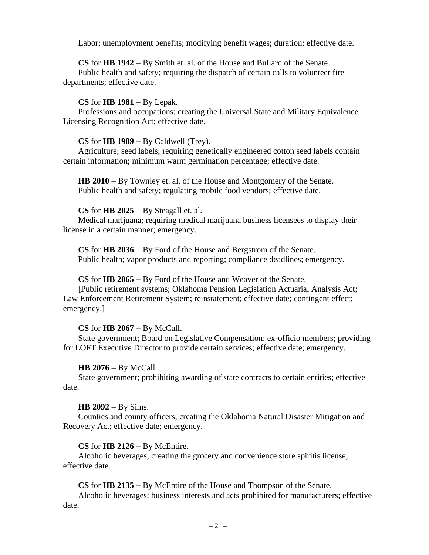Labor; unemployment benefits; modifying benefit wages; duration; effective date.

**CS** for **HB 1942** − By Smith et. al. of the House and Bullard of the Senate.

Public health and safety; requiring the dispatch of certain calls to volunteer fire departments; effective date.

# **CS** for **HB 1981** − By Lepak.

Professions and occupations; creating the Universal State and Military Equivalence Licensing Recognition Act; effective date.

# **CS** for **HB 1989** − By Caldwell (Trey).

Agriculture; seed labels; requiring genetically engineered cotton seed labels contain certain information; minimum warm germination percentage; effective date.

**HB 2010** − By Townley et. al. of the House and Montgomery of the Senate. Public health and safety; regulating mobile food vendors; effective date.

# **CS** for **HB 2025** − By Steagall et. al.

Medical marijuana; requiring medical marijuana business licensees to display their license in a certain manner; emergency.

**CS** for **HB 2036** − By Ford of the House and Bergstrom of the Senate. Public health; vapor products and reporting; compliance deadlines; emergency.

# **CS** for **HB 2065** − By Ford of the House and Weaver of the Senate.

[Public retirement systems; Oklahoma Pension Legislation Actuarial Analysis Act; Law Enforcement Retirement System; reinstatement; effective date; contingent effect; emergency.]

# **CS** for **HB 2067** − By McCall.

State government; Board on Legislative Compensation; ex-officio members; providing for LOFT Executive Director to provide certain services; effective date; emergency.

# **HB 2076** − By McCall.

State government; prohibiting awarding of state contracts to certain entities; effective date.

# **HB 2092** − By Sims.

Counties and county officers; creating the Oklahoma Natural Disaster Mitigation and Recovery Act; effective date; emergency.

# **CS** for **HB 2126** − By McEntire.

Alcoholic beverages; creating the grocery and convenience store spiritis license; effective date.

**CS** for **HB 2135** − By McEntire of the House and Thompson of the Senate.

Alcoholic beverages; business interests and acts prohibited for manufacturers; effective date.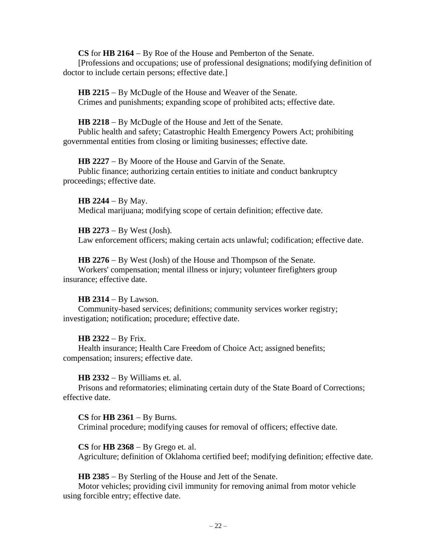**CS** for **HB 2164** − By Roe of the House and Pemberton of the Senate.

[Professions and occupations; use of professional designations; modifying definition of doctor to include certain persons; effective date.]

**HB 2215** − By McDugle of the House and Weaver of the Senate. Crimes and punishments; expanding scope of prohibited acts; effective date.

# **HB 2218** − By McDugle of the House and Jett of the Senate.

Public health and safety; Catastrophic Health Emergency Powers Act; prohibiting governmental entities from closing or limiting businesses; effective date.

# **HB 2227** − By Moore of the House and Garvin of the Senate.

Public finance; authorizing certain entities to initiate and conduct bankruptcy proceedings; effective date.

**HB 2244** − By May. Medical marijuana; modifying scope of certain definition; effective date.

**HB 2273** − By West (Josh). Law enforcement officers; making certain acts unlawful; codification; effective date.

**HB 2276** − By West (Josh) of the House and Thompson of the Senate. Workers' compensation; mental illness or injury; volunteer firefighters group insurance; effective date.

# **HB 2314** − By Lawson.

Community-based services; definitions; community services worker registry; investigation; notification; procedure; effective date.

# **HB 2322** − By Frix.

Health insurance; Health Care Freedom of Choice Act; assigned benefits; compensation; insurers; effective date.

# **HB 2332** − By Williams et. al.

Prisons and reformatories; eliminating certain duty of the State Board of Corrections; effective date.

**CS** for **HB 2361** − By Burns.

Criminal procedure; modifying causes for removal of officers; effective date.

**CS** for **HB 2368** − By Grego et. al.

Agriculture; definition of Oklahoma certified beef; modifying definition; effective date.

**HB 2385** − By Sterling of the House and Jett of the Senate.

Motor vehicles; providing civil immunity for removing animal from motor vehicle using forcible entry; effective date.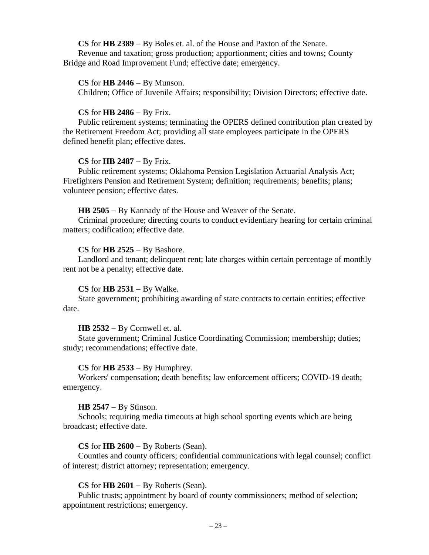**CS** for **HB 2389** − By Boles et. al. of the House and Paxton of the Senate. Revenue and taxation; gross production; apportionment; cities and towns; County Bridge and Road Improvement Fund; effective date; emergency.

## **CS** for **HB 2446** − By Munson.

Children; Office of Juvenile Affairs; responsibility; Division Directors; effective date.

#### **CS** for **HB 2486** − By Frix.

Public retirement systems; terminating the OPERS defined contribution plan created by the Retirement Freedom Act; providing all state employees participate in the OPERS defined benefit plan; effective dates.

#### **CS** for **HB 2487** − By Frix.

Public retirement systems; Oklahoma Pension Legislation Actuarial Analysis Act; Firefighters Pension and Retirement System; definition; requirements; benefits; plans; volunteer pension; effective dates.

#### **HB 2505** − By Kannady of the House and Weaver of the Senate.

Criminal procedure; directing courts to conduct evidentiary hearing for certain criminal matters; codification; effective date.

## **CS** for **HB 2525** − By Bashore.

Landlord and tenant; delinquent rent; late charges within certain percentage of monthly rent not be a penalty; effective date.

# **CS** for **HB 2531** − By Walke.

State government; prohibiting awarding of state contracts to certain entities; effective date.

#### **HB 2532** − By Cornwell et. al.

State government; Criminal Justice Coordinating Commission; membership; duties; study; recommendations; effective date.

#### **CS** for **HB 2533** − By Humphrey.

Workers' compensation; death benefits; law enforcement officers; COVID-19 death; emergency.

#### **HB 2547** − By Stinson.

Schools; requiring media timeouts at high school sporting events which are being broadcast; effective date.

## **CS** for **HB 2600** − By Roberts (Sean).

Counties and county officers; confidential communications with legal counsel; conflict of interest; district attorney; representation; emergency.

## **CS** for **HB 2601** − By Roberts (Sean).

Public trusts; appointment by board of county commissioners; method of selection; appointment restrictions; emergency.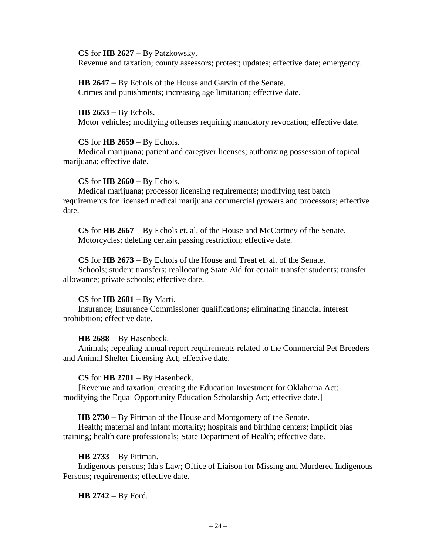**CS** for **HB 2627** − By Patzkowsky.

Revenue and taxation; county assessors; protest; updates; effective date; emergency.

**HB 2647** − By Echols of the House and Garvin of the Senate. Crimes and punishments; increasing age limitation; effective date.

**HB 2653** − By Echols. Motor vehicles; modifying offenses requiring mandatory revocation; effective date.

# **CS** for **HB 2659** − By Echols.

Medical marijuana; patient and caregiver licenses; authorizing possession of topical marijuana; effective date.

# **CS** for **HB 2660** − By Echols.

Medical marijuana; processor licensing requirements; modifying test batch requirements for licensed medical marijuana commercial growers and processors; effective date.

**CS** for **HB 2667** − By Echols et. al. of the House and McCortney of the Senate. Motorcycles; deleting certain passing restriction; effective date.

# **CS** for **HB 2673** − By Echols of the House and Treat et. al. of the Senate.

Schools; student transfers; reallocating State Aid for certain transfer students; transfer allowance; private schools; effective date.

# **CS** for **HB 2681** − By Marti.

Insurance; Insurance Commissioner qualifications; eliminating financial interest prohibition; effective date.

# **HB 2688** − By Hasenbeck.

Animals; repealing annual report requirements related to the Commercial Pet Breeders and Animal Shelter Licensing Act; effective date.

# **CS** for **HB 2701** − By Hasenbeck.

[Revenue and taxation; creating the Education Investment for Oklahoma Act; modifying the Equal Opportunity Education Scholarship Act; effective date.]

**HB 2730** − By Pittman of the House and Montgomery of the Senate.

Health; maternal and infant mortality; hospitals and birthing centers; implicit bias training; health care professionals; State Department of Health; effective date.

# **HB 2733** − By Pittman.

Indigenous persons; Ida's Law; Office of Liaison for Missing and Murdered Indigenous Persons; requirements; effective date.

**HB 2742** − By Ford.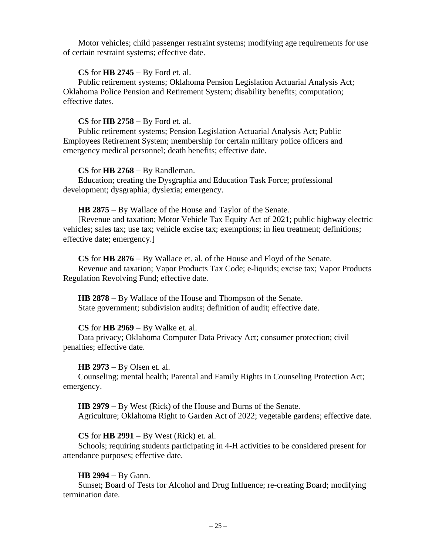Motor vehicles; child passenger restraint systems; modifying age requirements for use of certain restraint systems; effective date.

# **CS** for **HB 2745** − By Ford et. al.

Public retirement systems; Oklahoma Pension Legislation Actuarial Analysis Act; Oklahoma Police Pension and Retirement System; disability benefits; computation; effective dates.

# **CS** for **HB 2758** − By Ford et. al.

Public retirement systems; Pension Legislation Actuarial Analysis Act; Public Employees Retirement System; membership for certain military police officers and emergency medical personnel; death benefits; effective date.

# **CS** for **HB 2768** − By Randleman.

Education; creating the Dysgraphia and Education Task Force; professional development; dysgraphia; dyslexia; emergency.

# **HB 2875** − By Wallace of the House and Taylor of the Senate.

[Revenue and taxation; Motor Vehicle Tax Equity Act of 2021; public highway electric vehicles; sales tax; use tax; vehicle excise tax; exemptions; in lieu treatment; definitions; effective date; emergency.]

**CS** for **HB 2876** − By Wallace et. al. of the House and Floyd of the Senate. Revenue and taxation; Vapor Products Tax Code; e-liquids; excise tax; Vapor Products Regulation Revolving Fund; effective date.

**HB 2878** − By Wallace of the House and Thompson of the Senate. State government; subdivision audits; definition of audit; effective date.

# **CS** for **HB 2969** − By Walke et. al.

Data privacy; Oklahoma Computer Data Privacy Act; consumer protection; civil penalties; effective date.

# **HB 2973** − By Olsen et. al.

Counseling; mental health; Parental and Family Rights in Counseling Protection Act; emergency.

**HB 2979** − By West (Rick) of the House and Burns of the Senate. Agriculture; Oklahoma Right to Garden Act of 2022; vegetable gardens; effective date.

# **CS** for **HB 2991** − By West (Rick) et. al.

Schools; requiring students participating in 4-H activities to be considered present for attendance purposes; effective date.

# **HB 2994** − By Gann.

Sunset; Board of Tests for Alcohol and Drug Influence; re-creating Board; modifying termination date.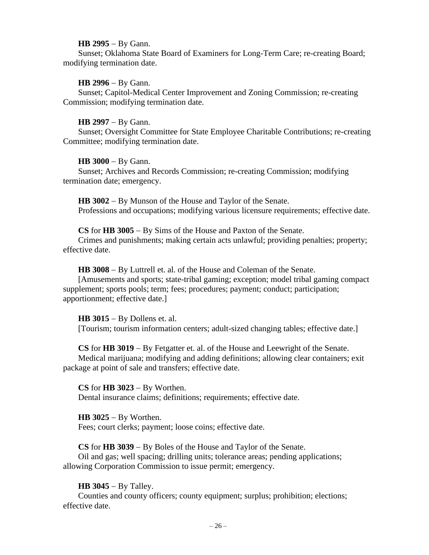#### **HB 2995** − By Gann.

Sunset; Oklahoma State Board of Examiners for Long-Term Care; re-creating Board; modifying termination date.

# **HB 2996** − By Gann.

Sunset; Capitol-Medical Center Improvement and Zoning Commission; re-creating Commission; modifying termination date.

## **HB 2997** − By Gann.

Sunset; Oversight Committee for State Employee Charitable Contributions; re-creating Committee; modifying termination date.

## **HB 3000** − By Gann.

Sunset; Archives and Records Commission; re-creating Commission; modifying termination date; emergency.

**HB 3002** − By Munson of the House and Taylor of the Senate. Professions and occupations; modifying various licensure requirements; effective date.

**CS** for **HB 3005** − By Sims of the House and Paxton of the Senate.

Crimes and punishments; making certain acts unlawful; providing penalties; property; effective date.

**HB 3008** − By Luttrell et. al. of the House and Coleman of the Senate.

[Amusements and sports; state-tribal gaming; exception; model tribal gaming compact supplement; sports pools; term; fees; procedures; payment; conduct; participation; apportionment; effective date.]

# **HB 3015** − By Dollens et. al.

[Tourism; tourism information centers; adult-sized changing tables; effective date.]

**CS** for **HB 3019** − By Fetgatter et. al. of the House and Leewright of the Senate. Medical marijuana; modifying and adding definitions; allowing clear containers; exit package at point of sale and transfers; effective date.

**CS** for **HB 3023** − By Worthen. Dental insurance claims; definitions; requirements; effective date.

**HB 3025** − By Worthen. Fees; court clerks; payment; loose coins; effective date.

**CS** for **HB 3039** − By Boles of the House and Taylor of the Senate. Oil and gas; well spacing; drilling units; tolerance areas; pending applications; allowing Corporation Commission to issue permit; emergency.

# **HB 3045** − By Talley.

Counties and county officers; county equipment; surplus; prohibition; elections; effective date.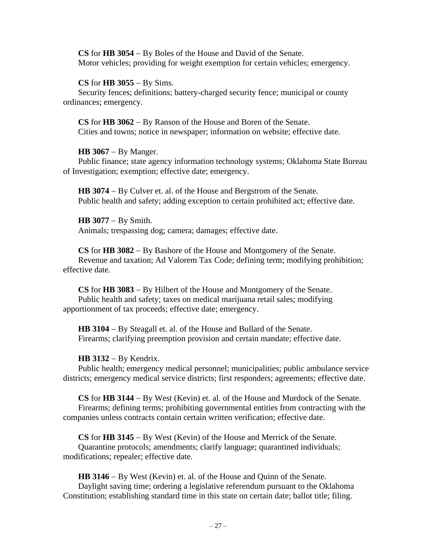**CS** for **HB 3054** − By Boles of the House and David of the Senate. Motor vehicles; providing for weight exemption for certain vehicles; emergency.

## **CS** for **HB 3055** − By Sims.

Security fences; definitions; battery-charged security fence; municipal or county ordinances; emergency.

**CS** for **HB 3062** − By Ranson of the House and Boren of the Senate. Cities and towns; notice in newspaper; information on website; effective date.

# **HB 3067** − By Manger.

Public finance; state agency information technology systems; Oklahoma State Bureau of Investigation; exemption; effective date; emergency.

**HB 3074** − By Culver et. al. of the House and Bergstrom of the Senate. Public health and safety; adding exception to certain prohibited act; effective date.

**HB 3077** − By Smith. Animals; trespassing dog; camera; damages; effective date.

**CS** for **HB 3082** − By Bashore of the House and Montgomery of the Senate. Revenue and taxation; Ad Valorem Tax Code; defining term; modifying prohibition; effective date.

**CS** for **HB 3083** − By Hilbert of the House and Montgomery of the Senate. Public health and safety; taxes on medical marijuana retail sales; modifying apportionment of tax proceeds; effective date; emergency.

**HB 3104** − By Steagall et. al. of the House and Bullard of the Senate. Firearms; clarifying preemption provision and certain mandate; effective date.

# **HB 3132** − By Kendrix.

Public health; emergency medical personnel; municipalities; public ambulance service districts; emergency medical service districts; first responders; agreements; effective date.

**CS** for **HB 3144** − By West (Kevin) et. al. of the House and Murdock of the Senate. Firearms; defining terms; prohibiting governmental entities from contracting with the companies unless contracts contain certain written verification; effective date.

**CS** for **HB 3145** − By West (Kevin) of the House and Merrick of the Senate. Quarantine protocols; amendments; clarify language; quarantined individuals; modifications; repealer; effective date.

**HB 3146** − By West (Kevin) et. al. of the House and Quinn of the Senate. Daylight saving time; ordering a legislative referendum pursuant to the Oklahoma Constitution; establishing standard time in this state on certain date; ballot title; filing.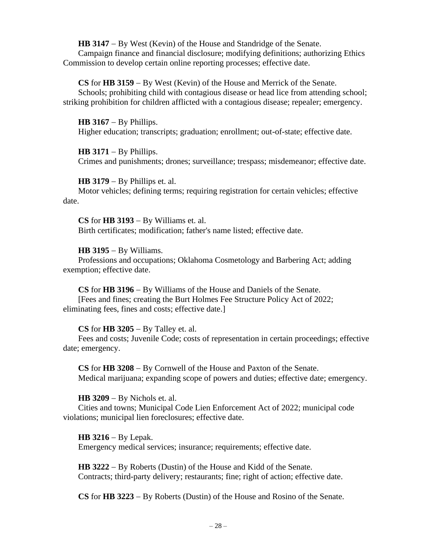**HB 3147** − By West (Kevin) of the House and Standridge of the Senate. Campaign finance and financial disclosure; modifying definitions; authorizing Ethics Commission to develop certain online reporting processes; effective date.

**CS** for **HB 3159** − By West (Kevin) of the House and Merrick of the Senate. Schools; prohibiting child with contagious disease or head lice from attending school; striking prohibition for children afflicted with a contagious disease; repealer; emergency.

**HB 3167** − By Phillips. Higher education; transcripts; graduation; enrollment; out-of-state; effective date.

# **HB 3171** − By Phillips.

Crimes and punishments; drones; surveillance; trespass; misdemeanor; effective date.

**HB 3179** − By Phillips et. al.

Motor vehicles; defining terms; requiring registration for certain vehicles; effective date.

**CS** for **HB 3193** − By Williams et. al. Birth certificates; modification; father's name listed; effective date.

# **HB 3195** − By Williams.

Professions and occupations; Oklahoma Cosmetology and Barbering Act; adding exemption; effective date.

**CS** for **HB 3196** − By Williams of the House and Daniels of the Senate.

[Fees and fines; creating the Burt Holmes Fee Structure Policy Act of 2022; eliminating fees, fines and costs; effective date.]

# **CS** for **HB 3205** − By Talley et. al.

Fees and costs; Juvenile Code; costs of representation in certain proceedings; effective date; emergency.

**CS** for **HB 3208** − By Cornwell of the House and Paxton of the Senate. Medical marijuana; expanding scope of powers and duties; effective date; emergency.

# **HB 3209** − By Nichols et. al.

Cities and towns; Municipal Code Lien Enforcement Act of 2022; municipal code violations; municipal lien foreclosures; effective date.

**HB 3216** − By Lepak.

Emergency medical services; insurance; requirements; effective date.

**HB 3222** − By Roberts (Dustin) of the House and Kidd of the Senate. Contracts; third-party delivery; restaurants; fine; right of action; effective date.

**CS** for **HB 3223** − By Roberts (Dustin) of the House and Rosino of the Senate.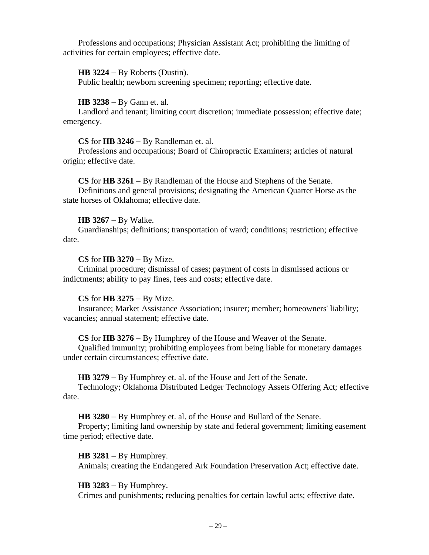Professions and occupations; Physician Assistant Act; prohibiting the limiting of activities for certain employees; effective date.

## **HB 3224** − By Roberts (Dustin).

Public health; newborn screening specimen; reporting; effective date.

## **HB 3238** − By Gann et. al.

Landlord and tenant; limiting court discretion; immediate possession; effective date; emergency.

## **CS** for **HB 3246** − By Randleman et. al.

Professions and occupations; Board of Chiropractic Examiners; articles of natural origin; effective date.

# **CS** for **HB 3261** − By Randleman of the House and Stephens of the Senate.

Definitions and general provisions; designating the American Quarter Horse as the state horses of Oklahoma; effective date.

## **HB 3267** − By Walke.

Guardianships; definitions; transportation of ward; conditions; restriction; effective date.

## **CS** for **HB 3270** − By Mize.

Criminal procedure; dismissal of cases; payment of costs in dismissed actions or indictments; ability to pay fines, fees and costs; effective date.

#### **CS** for **HB 3275** − By Mize.

Insurance; Market Assistance Association; insurer; member; homeowners' liability; vacancies; annual statement; effective date.

# **CS** for **HB 3276** − By Humphrey of the House and Weaver of the Senate.

Qualified immunity; prohibiting employees from being liable for monetary damages under certain circumstances; effective date.

#### **HB 3279** − By Humphrey et. al. of the House and Jett of the Senate.

Technology; Oklahoma Distributed Ledger Technology Assets Offering Act; effective date.

**HB 3280** − By Humphrey et. al. of the House and Bullard of the Senate.

Property; limiting land ownership by state and federal government; limiting easement time period; effective date.

#### **HB 3281** − By Humphrey.

Animals; creating the Endangered Ark Foundation Preservation Act; effective date.

# **HB 3283** − By Humphrey.

Crimes and punishments; reducing penalties for certain lawful acts; effective date.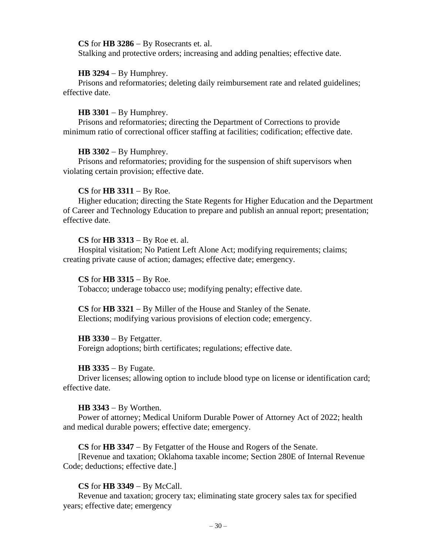## **CS** for **HB 3286** − By Rosecrants et. al.

Stalking and protective orders; increasing and adding penalties; effective date.

## **HB 3294** − By Humphrey.

Prisons and reformatories; deleting daily reimbursement rate and related guidelines; effective date.

## **HB 3301** − By Humphrey.

Prisons and reformatories; directing the Department of Corrections to provide minimum ratio of correctional officer staffing at facilities; codification; effective date.

#### **HB 3302** − By Humphrey.

Prisons and reformatories; providing for the suspension of shift supervisors when violating certain provision; effective date.

# **CS** for **HB 3311** − By Roe.

Higher education; directing the State Regents for Higher Education and the Department of Career and Technology Education to prepare and publish an annual report; presentation; effective date.

# **CS** for **HB 3313** − By Roe et. al.

Hospital visitation; No Patient Left Alone Act; modifying requirements; claims; creating private cause of action; damages; effective date; emergency.

#### **CS** for **HB 3315** − By Roe.

Tobacco; underage tobacco use; modifying penalty; effective date.

**CS** for **HB 3321** − By Miller of the House and Stanley of the Senate. Elections; modifying various provisions of election code; emergency.

## **HB 3330** − By Fetgatter.

Foreign adoptions; birth certificates; regulations; effective date.

#### **HB 3335** − By Fugate.

Driver licenses; allowing option to include blood type on license or identification card; effective date.

#### **HB 3343** − By Worthen.

Power of attorney; Medical Uniform Durable Power of Attorney Act of 2022; health and medical durable powers; effective date; emergency.

**CS** for **HB 3347** − By Fetgatter of the House and Rogers of the Senate.

[Revenue and taxation; Oklahoma taxable income; Section 280E of Internal Revenue Code; deductions; effective date.]

# **CS** for **HB 3349** − By McCall.

Revenue and taxation; grocery tax; eliminating state grocery sales tax for specified years; effective date; emergency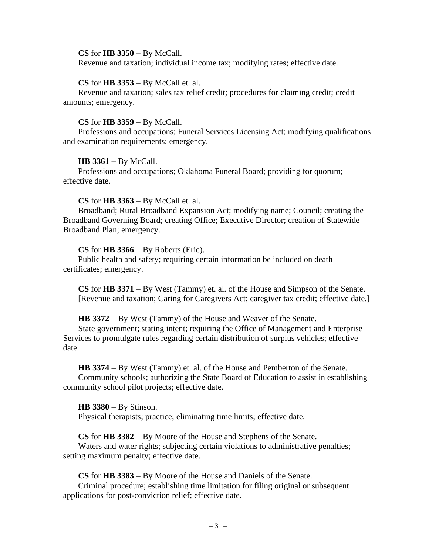#### **CS** for **HB 3350** − By McCall.

Revenue and taxation; individual income tax; modifying rates; effective date.

#### **CS** for **HB 3353** − By McCall et. al.

Revenue and taxation; sales tax relief credit; procedures for claiming credit; credit amounts; emergency.

## **CS** for **HB 3359** − By McCall.

Professions and occupations; Funeral Services Licensing Act; modifying qualifications and examination requirements; emergency.

## **HB 3361** − By McCall.

Professions and occupations; Oklahoma Funeral Board; providing for quorum; effective date.

## **CS** for **HB 3363** − By McCall et. al.

Broadband; Rural Broadband Expansion Act; modifying name; Council; creating the Broadband Governing Board; creating Office; Executive Director; creation of Statewide Broadband Plan; emergency.

## **CS** for **HB 3366** − By Roberts (Eric).

Public health and safety; requiring certain information be included on death certificates; emergency.

**CS** for **HB 3371** − By West (Tammy) et. al. of the House and Simpson of the Senate. [Revenue and taxation; Caring for Caregivers Act; caregiver tax credit; effective date.]

#### **HB 3372** − By West (Tammy) of the House and Weaver of the Senate.

State government; stating intent; requiring the Office of Management and Enterprise Services to promulgate rules regarding certain distribution of surplus vehicles; effective date.

**HB 3374** − By West (Tammy) et. al. of the House and Pemberton of the Senate. Community schools; authorizing the State Board of Education to assist in establishing community school pilot projects; effective date.

#### **HB 3380** − By Stinson.

Physical therapists; practice; eliminating time limits; effective date.

**CS** for **HB 3382** − By Moore of the House and Stephens of the Senate.

Waters and water rights; subjecting certain violations to administrative penalties; setting maximum penalty; effective date.

**CS** for **HB 3383** − By Moore of the House and Daniels of the Senate.

Criminal procedure; establishing time limitation for filing original or subsequent applications for post-conviction relief; effective date.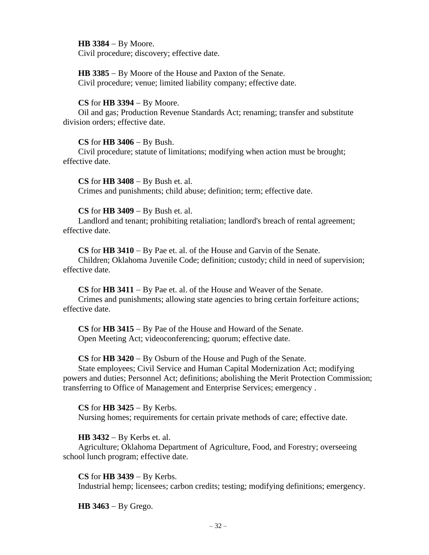**HB 3384** − By Moore. Civil procedure; discovery; effective date.

**HB 3385** − By Moore of the House and Paxton of the Senate. Civil procedure; venue; limited liability company; effective date.

## **CS** for **HB 3394** − By Moore.

Oil and gas; Production Revenue Standards Act; renaming; transfer and substitute division orders; effective date.

## **CS** for **HB 3406** − By Bush.

Civil procedure; statute of limitations; modifying when action must be brought; effective date.

**CS** for **HB 3408** − By Bush et. al. Crimes and punishments; child abuse; definition; term; effective date.

## **CS** for **HB 3409** − By Bush et. al.

Landlord and tenant; prohibiting retaliation; landlord's breach of rental agreement; effective date.

**CS** for **HB 3410** − By Pae et. al. of the House and Garvin of the Senate.

Children; Oklahoma Juvenile Code; definition; custody; child in need of supervision; effective date.

**CS** for **HB 3411** − By Pae et. al. of the House and Weaver of the Senate. Crimes and punishments; allowing state agencies to bring certain forfeiture actions; effective date.

**CS** for **HB 3415** − By Pae of the House and Howard of the Senate. Open Meeting Act; videoconferencing; quorum; effective date.

**CS** for **HB 3420** − By Osburn of the House and Pugh of the Senate.

State employees; Civil Service and Human Capital Modernization Act; modifying powers and duties; Personnel Act; definitions; abolishing the Merit Protection Commission; transferring to Office of Management and Enterprise Services; emergency .

**CS** for **HB 3425** − By Kerbs. Nursing homes; requirements for certain private methods of care; effective date.

# **HB 3432** − By Kerbs et. al.

Agriculture; Oklahoma Department of Agriculture, Food, and Forestry; overseeing school lunch program; effective date.

# **CS** for **HB 3439** − By Kerbs.

Industrial hemp; licensees; carbon credits; testing; modifying definitions; emergency.

**HB 3463** − By Grego.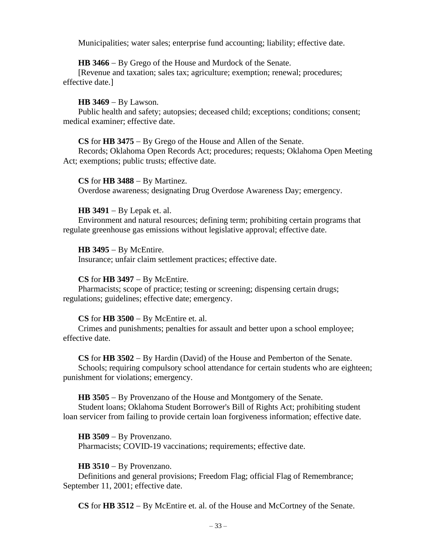Municipalities; water sales; enterprise fund accounting; liability; effective date.

# **HB 3466** − By Grego of the House and Murdock of the Senate.

[Revenue and taxation; sales tax; agriculture; exemption; renewal; procedures; effective date.]

# **HB 3469** − By Lawson.

Public health and safety; autopsies; deceased child; exceptions; conditions; consent; medical examiner; effective date.

# **CS** for **HB 3475** − By Grego of the House and Allen of the Senate.

Records; Oklahoma Open Records Act; procedures; requests; Oklahoma Open Meeting Act; exemptions; public trusts; effective date.

## **CS** for **HB 3488** − By Martinez.

Overdose awareness; designating Drug Overdose Awareness Day; emergency.

# **HB 3491** − By Lepak et. al.

Environment and natural resources; defining term; prohibiting certain programs that regulate greenhouse gas emissions without legislative approval; effective date.

# **HB 3495** − By McEntire.

Insurance; unfair claim settlement practices; effective date.

# **CS** for **HB 3497** − By McEntire.

Pharmacists; scope of practice; testing or screening; dispensing certain drugs; regulations; guidelines; effective date; emergency.

# **CS** for **HB 3500** − By McEntire et. al.

Crimes and punishments; penalties for assault and better upon a school employee; effective date.

#### **CS** for **HB 3502** − By Hardin (David) of the House and Pemberton of the Senate.

Schools; requiring compulsory school attendance for certain students who are eighteen; punishment for violations; emergency.

# **HB 3505** − By Provenzano of the House and Montgomery of the Senate.

Student loans; Oklahoma Student Borrower's Bill of Rights Act; prohibiting student loan servicer from failing to provide certain loan forgiveness information; effective date.

#### **HB 3509** − By Provenzano.

Pharmacists; COVID-19 vaccinations; requirements; effective date.

# **HB 3510** − By Provenzano.

Definitions and general provisions; Freedom Flag; official Flag of Remembrance; September 11, 2001; effective date.

**CS** for **HB 3512** − By McEntire et. al. of the House and McCortney of the Senate.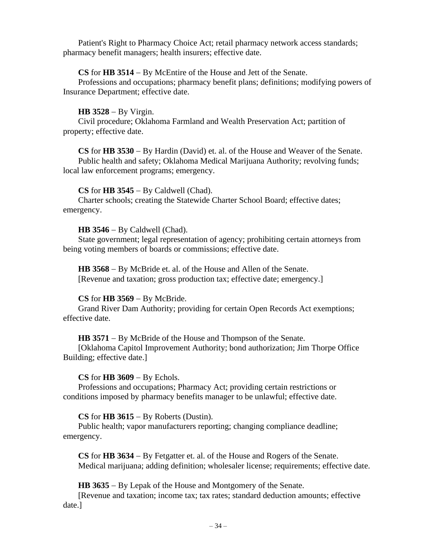Patient's Right to Pharmacy Choice Act; retail pharmacy network access standards; pharmacy benefit managers; health insurers; effective date.

# **CS** for **HB 3514** − By McEntire of the House and Jett of the Senate.

Professions and occupations; pharmacy benefit plans; definitions; modifying powers of Insurance Department; effective date.

# **HB 3528** − By Virgin.

Civil procedure; Oklahoma Farmland and Wealth Preservation Act; partition of property; effective date.

**CS** for **HB 3530** − By Hardin (David) et. al. of the House and Weaver of the Senate. Public health and safety; Oklahoma Medical Marijuana Authority; revolving funds; local law enforcement programs; emergency.

# **CS** for **HB 3545** − By Caldwell (Chad).

Charter schools; creating the Statewide Charter School Board; effective dates; emergency.

# **HB 3546** − By Caldwell (Chad).

State government; legal representation of agency; prohibiting certain attorneys from being voting members of boards or commissions; effective date.

**HB 3568** − By McBride et. al. of the House and Allen of the Senate. [Revenue and taxation; gross production tax; effective date; emergency.]

# **CS** for **HB 3569** − By McBride.

Grand River Dam Authority; providing for certain Open Records Act exemptions; effective date.

# **HB 3571** − By McBride of the House and Thompson of the Senate.

[Oklahoma Capitol Improvement Authority; bond authorization; Jim Thorpe Office Building; effective date.]

# **CS** for **HB 3609** − By Echols.

Professions and occupations; Pharmacy Act; providing certain restrictions or conditions imposed by pharmacy benefits manager to be unlawful; effective date.

# **CS** for **HB 3615** − By Roberts (Dustin).

Public health; vapor manufacturers reporting; changing compliance deadline; emergency.

**CS** for **HB 3634** − By Fetgatter et. al. of the House and Rogers of the Senate. Medical marijuana; adding definition; wholesaler license; requirements; effective date.

**HB 3635** − By Lepak of the House and Montgomery of the Senate.

[Revenue and taxation; income tax; tax rates; standard deduction amounts; effective date.]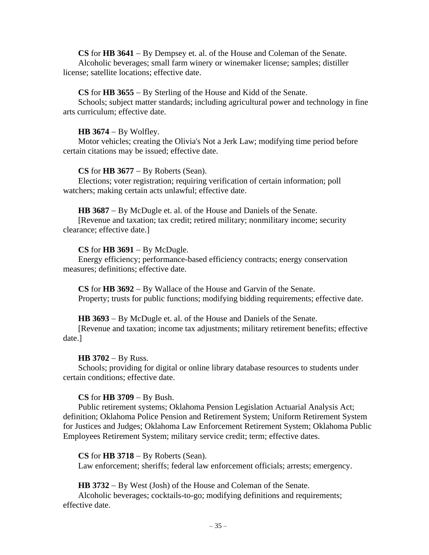**CS** for **HB 3641** − By Dempsey et. al. of the House and Coleman of the Senate. Alcoholic beverages; small farm winery or winemaker license; samples; distiller license; satellite locations; effective date.

### **CS** for **HB 3655** − By Sterling of the House and Kidd of the Senate.

Schools; subject matter standards; including agricultural power and technology in fine arts curriculum; effective date.

#### **HB 3674** − By Wolfley.

Motor vehicles; creating the Olivia's Not a Jerk Law; modifying time period before certain citations may be issued; effective date.

#### **CS** for **HB 3677** − By Roberts (Sean).

Elections; voter registration; requiring verification of certain information; poll watchers; making certain acts unlawful; effective date.

#### **HB 3687** − By McDugle et. al. of the House and Daniels of the Senate.

[Revenue and taxation; tax credit; retired military; nonmilitary income; security clearance; effective date.]

#### **CS** for **HB 3691** − By McDugle.

Energy efficiency; performance-based efficiency contracts; energy conservation measures; definitions; effective date.

**CS** for **HB 3692** − By Wallace of the House and Garvin of the Senate. Property; trusts for public functions; modifying bidding requirements; effective date.

#### **HB 3693** − By McDugle et. al. of the House and Daniels of the Senate.

[Revenue and taxation; income tax adjustments; military retirement benefits; effective date.]

#### **HB 3702** − By Russ.

Schools; providing for digital or online library database resources to students under certain conditions; effective date.

#### **CS** for **HB 3709** − By Bush.

Public retirement systems; Oklahoma Pension Legislation Actuarial Analysis Act; definition; Oklahoma Police Pension and Retirement System; Uniform Retirement System for Justices and Judges; Oklahoma Law Enforcement Retirement System; Oklahoma Public Employees Retirement System; military service credit; term; effective dates.

## **CS** for **HB 3718** − By Roberts (Sean).

Law enforcement; sheriffs; federal law enforcement officials; arrests; emergency.

**HB 3732** − By West (Josh) of the House and Coleman of the Senate.

Alcoholic beverages; cocktails-to-go; modifying definitions and requirements; effective date.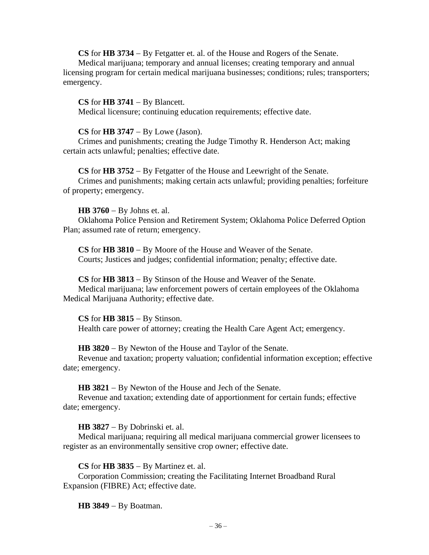**CS** for **HB 3734** − By Fetgatter et. al. of the House and Rogers of the Senate. Medical marijuana; temporary and annual licenses; creating temporary and annual licensing program for certain medical marijuana businesses; conditions; rules; transporters; emergency.

## **CS** for **HB 3741** − By Blancett.

Medical licensure; continuing education requirements; effective date.

#### **CS** for **HB 3747** − By Lowe (Jason).

Crimes and punishments; creating the Judge Timothy R. Henderson Act; making certain acts unlawful; penalties; effective date.

# **CS** for **HB 3752** − By Fetgatter of the House and Leewright of the Senate.

Crimes and punishments; making certain acts unlawful; providing penalties; forfeiture of property; emergency.

## **HB 3760** − By Johns et. al.

Oklahoma Police Pension and Retirement System; Oklahoma Police Deferred Option Plan; assumed rate of return; emergency.

**CS** for **HB 3810** − By Moore of the House and Weaver of the Senate. Courts; Justices and judges; confidential information; penalty; effective date.

**CS** for **HB 3813** − By Stinson of the House and Weaver of the Senate. Medical marijuana; law enforcement powers of certain employees of the Oklahoma Medical Marijuana Authority; effective date.

**CS** for **HB 3815** − By Stinson. Health care power of attorney; creating the Health Care Agent Act; emergency.

**HB 3820** − By Newton of the House and Taylor of the Senate.

Revenue and taxation; property valuation; confidential information exception; effective date; emergency.

**HB 3821** − By Newton of the House and Jech of the Senate.

Revenue and taxation; extending date of apportionment for certain funds; effective date; emergency.

# **HB 3827** − By Dobrinski et. al.

Medical marijuana; requiring all medical marijuana commercial grower licensees to register as an environmentally sensitive crop owner; effective date.

## **CS** for **HB 3835** − By Martinez et. al.

Corporation Commission; creating the Facilitating Internet Broadband Rural Expansion (FIBRE) Act; effective date.

**HB 3849** − By Boatman.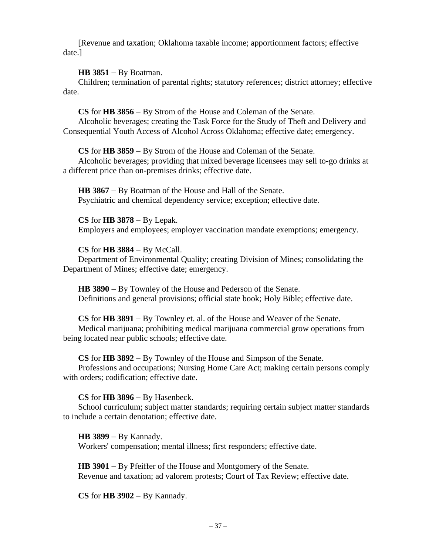[Revenue and taxation; Oklahoma taxable income; apportionment factors; effective date.]

**HB 3851** − By Boatman.

Children; termination of parental rights; statutory references; district attorney; effective date.

**CS** for **HB 3856** − By Strom of the House and Coleman of the Senate. Alcoholic beverages; creating the Task Force for the Study of Theft and Delivery and Consequential Youth Access of Alcohol Across Oklahoma; effective date; emergency.

**CS** for **HB 3859** − By Strom of the House and Coleman of the Senate.

Alcoholic beverages; providing that mixed beverage licensees may sell to-go drinks at a different price than on-premises drinks; effective date.

**HB 3867** − By Boatman of the House and Hall of the Senate. Psychiatric and chemical dependency service; exception; effective date.

**CS** for **HB 3878** − By Lepak. Employers and employees; employer vaccination mandate exemptions; emergency.

**CS** for **HB 3884** − By McCall.

Department of Environmental Quality; creating Division of Mines; consolidating the Department of Mines; effective date; emergency.

**HB 3890** − By Townley of the House and Pederson of the Senate. Definitions and general provisions; official state book; Holy Bible; effective date.

**CS** for **HB 3891** − By Townley et. al. of the House and Weaver of the Senate. Medical marijuana; prohibiting medical marijuana commercial grow operations from being located near public schools; effective date.

**CS** for **HB 3892** − By Townley of the House and Simpson of the Senate.

Professions and occupations; Nursing Home Care Act; making certain persons comply with orders; codification; effective date.

**CS** for **HB 3896** − By Hasenbeck.

School curriculum; subject matter standards; requiring certain subject matter standards to include a certain denotation; effective date.

**HB 3899** − By Kannady.

Workers' compensation; mental illness; first responders; effective date.

**HB 3901** − By Pfeiffer of the House and Montgomery of the Senate. Revenue and taxation; ad valorem protests; Court of Tax Review; effective date.

**CS** for **HB 3902** − By Kannady.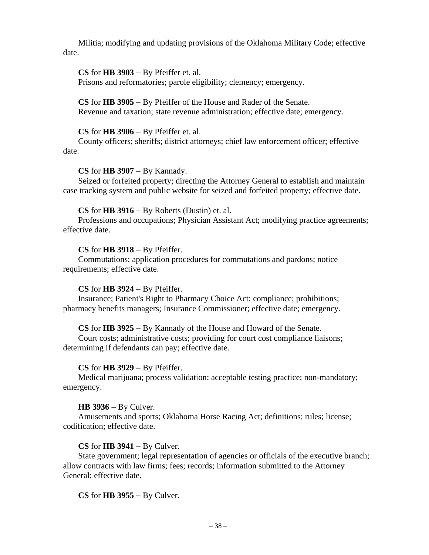Militia; modifying and updating provisions of the Oklahoma Military Code; effective date.

# **CS** for **HB 3903** − By Pfeiffer et. al.

Prisons and reformatories; parole eligibility; clemency; emergency.

**CS** for **HB 3905** − By Pfeiffer of the House and Rader of the Senate. Revenue and taxation; state revenue administration; effective date; emergency.

# **CS** for **HB 3906** − By Pfeiffer et. al.

County officers; sheriffs; district attorneys; chief law enforcement officer; effective date.

# **CS** for **HB 3907** − By Kannady.

Seized or forfeited property; directing the Attorney General to establish and maintain case tracking system and public website for seized and forfeited property; effective date.

# **CS** for **HB 3916** − By Roberts (Dustin) et. al.

Professions and occupations; Physician Assistant Act; modifying practice agreements; effective date.

# **CS** for **HB 3918** − By Pfeiffer.

Commutations; application procedures for commutations and pardons; notice requirements; effective date.

# **CS** for **HB 3924** − By Pfeiffer.

Insurance; Patient's Right to Pharmacy Choice Act; compliance; prohibitions; pharmacy benefits managers; Insurance Commissioner; effective date; emergency.

# **CS** for **HB 3925** − By Kannady of the House and Howard of the Senate.

Court costs; administrative costs; providing for court cost compliance liaisons; determining if defendants can pay; effective date.

# **CS** for **HB 3929** − By Pfeiffer.

Medical marijuana; process validation; acceptable testing practice; non-mandatory; emergency.

# **HB 3936** − By Culver.

Amusements and sports; Oklahoma Horse Racing Act; definitions; rules; license; codification; effective date.

# **CS** for **HB 3941** − By Culver.

State government; legal representation of agencies or officials of the executive branch; allow contracts with law firms; fees; records; information submitted to the Attorney General; effective date.

**CS** for **HB 3955** − By Culver.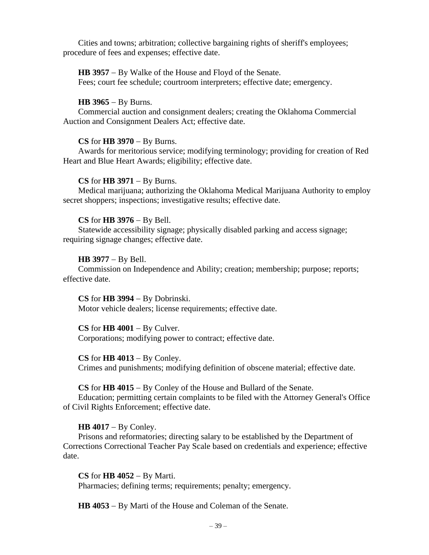Cities and towns; arbitration; collective bargaining rights of sheriff's employees; procedure of fees and expenses; effective date.

**HB 3957** − By Walke of the House and Floyd of the Senate. Fees; court fee schedule; courtroom interpreters; effective date; emergency.

## **HB 3965** − By Burns.

Commercial auction and consignment dealers; creating the Oklahoma Commercial Auction and Consignment Dealers Act; effective date.

#### **CS** for **HB 3970** − By Burns.

Awards for meritorious service; modifying terminology; providing for creation of Red Heart and Blue Heart Awards; eligibility; effective date.

#### **CS** for **HB 3971** − By Burns.

Medical marijuana; authorizing the Oklahoma Medical Marijuana Authority to employ secret shoppers; inspections; investigative results; effective date.

## **CS** for **HB 3976** − By Bell.

Statewide accessibility signage; physically disabled parking and access signage; requiring signage changes; effective date.

## **HB 3977** − By Bell.

Commission on Independence and Ability; creation; membership; purpose; reports; effective date.

**CS** for **HB 3994** − By Dobrinski. Motor vehicle dealers; license requirements; effective date.

**CS** for **HB 4001** − By Culver. Corporations; modifying power to contract; effective date.

**CS** for **HB 4013** − By Conley. Crimes and punishments; modifying definition of obscene material; effective date.

**CS** for **HB 4015** − By Conley of the House and Bullard of the Senate.

Education; permitting certain complaints to be filed with the Attorney General's Office of Civil Rights Enforcement; effective date.

# **HB 4017** − By Conley.

Prisons and reformatories; directing salary to be established by the Department of Corrections Correctional Teacher Pay Scale based on credentials and experience; effective date.

**CS** for **HB 4052** − By Marti. Pharmacies; defining terms; requirements; penalty; emergency.

**HB 4053** − By Marti of the House and Coleman of the Senate.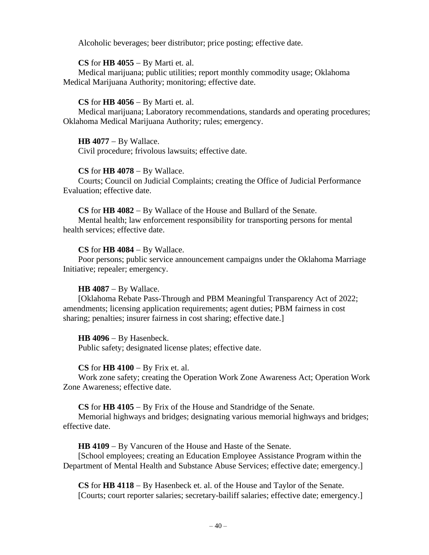Alcoholic beverages; beer distributor; price posting; effective date.

# **CS** for **HB 4055** − By Marti et. al.

Medical marijuana; public utilities; report monthly commodity usage; Oklahoma Medical Marijuana Authority; monitoring; effective date.

# **CS** for **HB 4056** − By Marti et. al.

Medical marijuana; Laboratory recommendations, standards and operating procedures; Oklahoma Medical Marijuana Authority; rules; emergency.

**HB 4077** − By Wallace. Civil procedure; frivolous lawsuits; effective date.

# **CS** for **HB 4078** − By Wallace.

Courts; Council on Judicial Complaints; creating the Office of Judicial Performance Evaluation; effective date.

# **CS** for **HB 4082** − By Wallace of the House and Bullard of the Senate.

Mental health; law enforcement responsibility for transporting persons for mental health services; effective date.

# **CS** for **HB 4084** − By Wallace.

Poor persons; public service announcement campaigns under the Oklahoma Marriage Initiative; repealer; emergency.

# **HB 4087** − By Wallace.

[Oklahoma Rebate Pass-Through and PBM Meaningful Transparency Act of 2022; amendments; licensing application requirements; agent duties; PBM fairness in cost sharing; penalties; insurer fairness in cost sharing; effective date.]

# **HB 4096** − By Hasenbeck.

Public safety; designated license plates; effective date.

# **CS** for **HB 4100** − By Frix et. al.

Work zone safety; creating the Operation Work Zone Awareness Act; Operation Work Zone Awareness; effective date.

# **CS** for **HB 4105** − By Frix of the House and Standridge of the Senate.

Memorial highways and bridges; designating various memorial highways and bridges; effective date.

**HB 4109** − By Vancuren of the House and Haste of the Senate.

[School employees; creating an Education Employee Assistance Program within the Department of Mental Health and Substance Abuse Services; effective date; emergency.]

**CS** for **HB 4118** − By Hasenbeck et. al. of the House and Taylor of the Senate. [Courts; court reporter salaries; secretary-bailiff salaries; effective date; emergency.]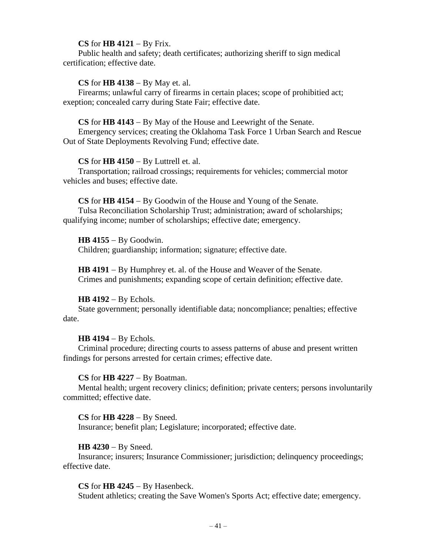## **CS** for **HB 4121** − By Frix.

Public health and safety; death certificates; authorizing sheriff to sign medical certification; effective date.

## **CS** for **HB 4138** − By May et. al.

Firearms; unlawful carry of firearms in certain places; scope of prohibitied act; exeption; concealed carry during State Fair; effective date.

#### **CS** for **HB 4143** − By May of the House and Leewright of the Senate.

Emergency services; creating the Oklahoma Task Force 1 Urban Search and Rescue Out of State Deployments Revolving Fund; effective date.

## **CS** for **HB 4150** − By Luttrell et. al.

Transportation; railroad crossings; requirements for vehicles; commercial motor vehicles and buses; effective date.

**CS** for **HB 4154** − By Goodwin of the House and Young of the Senate. Tulsa Reconciliation Scholarship Trust; administration; award of scholarships; qualifying income; number of scholarships; effective date; emergency.

## **HB 4155** − By Goodwin.

Children; guardianship; information; signature; effective date.

**HB 4191** − By Humphrey et. al. of the House and Weaver of the Senate. Crimes and punishments; expanding scope of certain definition; effective date.

# **HB 4192** − By Echols.

State government; personally identifiable data; noncompliance; penalties; effective date.

**HB 4194** − By Echols.

Criminal procedure; directing courts to assess patterns of abuse and present written findings for persons arrested for certain crimes; effective date.

**CS** for **HB 4227** − By Boatman.

Mental health; urgent recovery clinics; definition; private centers; persons involuntarily committed; effective date.

#### **CS** for **HB 4228** − By Sneed.

Insurance; benefit plan; Legislature; incorporated; effective date.

# **HB 4230** − By Sneed.

Insurance; insurers; Insurance Commissioner; jurisdiction; delinquency proceedings; effective date.

**CS** for **HB 4245** − By Hasenbeck.

Student athletics; creating the Save Women's Sports Act; effective date; emergency.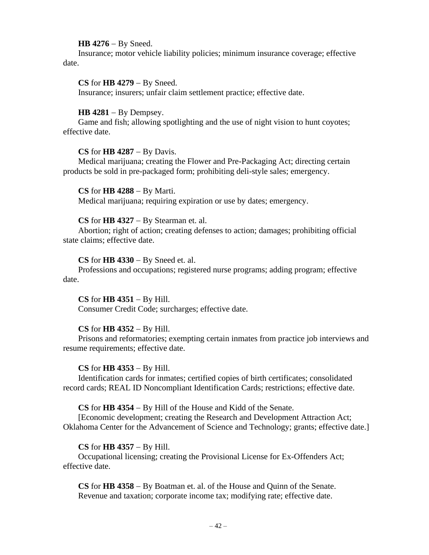## **HB 4276** − By Sneed.

Insurance; motor vehicle liability policies; minimum insurance coverage; effective date.

**CS** for **HB 4279** − By Sneed. Insurance; insurers; unfair claim settlement practice; effective date.

# **HB 4281** − By Dempsey.

Game and fish; allowing spotlighting and the use of night vision to hunt coyotes; effective date.

# **CS** for **HB 4287** − By Davis.

Medical marijuana; creating the Flower and Pre-Packaging Act; directing certain products be sold in pre-packaged form; prohibiting deli-style sales; emergency.

**CS** for **HB 4288** − By Marti. Medical marijuana; requiring expiration or use by dates; emergency.

## **CS** for **HB 4327** − By Stearman et. al.

Abortion; right of action; creating defenses to action; damages; prohibiting official state claims; effective date.

**CS** for **HB 4330** − By Sneed et. al.

Professions and occupations; registered nurse programs; adding program; effective date.

# **CS** for **HB 4351** − By Hill.

Consumer Credit Code; surcharges; effective date.

# **CS** for **HB 4352** − By Hill.

Prisons and reformatories; exempting certain inmates from practice job interviews and resume requirements; effective date.

#### **CS** for **HB 4353** − By Hill.

Identification cards for inmates; certified copies of birth certificates; consolidated record cards; REAL ID Noncompliant Identification Cards; restrictions; effective date.

#### **CS** for **HB 4354** − By Hill of the House and Kidd of the Senate.

[Economic development; creating the Research and Development Attraction Act; Oklahoma Center for the Advancement of Science and Technology; grants; effective date.]

# **CS** for **HB 4357** − By Hill.

Occupational licensing; creating the Provisional License for Ex-Offenders Act; effective date.

**CS** for **HB 4358** − By Boatman et. al. of the House and Quinn of the Senate. Revenue and taxation; corporate income tax; modifying rate; effective date.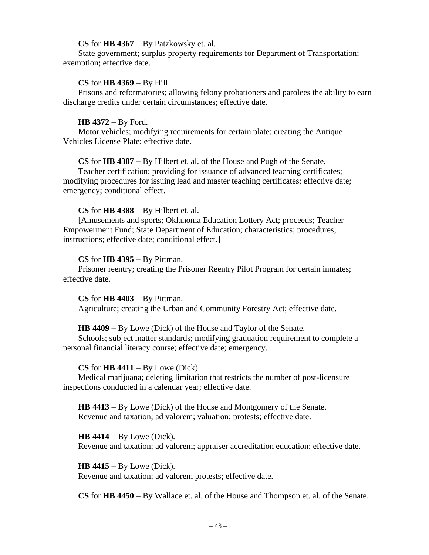## **CS** for **HB 4367** − By Patzkowsky et. al.

State government; surplus property requirements for Department of Transportation; exemption; effective date.

## **CS** for **HB 4369** − By Hill.

Prisons and reformatories; allowing felony probationers and parolees the ability to earn discharge credits under certain circumstances; effective date.

## **HB 4372** − By Ford.

Motor vehicles; modifying requirements for certain plate; creating the Antique Vehicles License Plate; effective date.

**CS** for **HB 4387** − By Hilbert et. al. of the House and Pugh of the Senate.

Teacher certification; providing for issuance of advanced teaching certificates; modifying procedures for issuing lead and master teaching certificates; effective date; emergency; conditional effect.

## **CS** for **HB 4388** − By Hilbert et. al.

[Amusements and sports; Oklahoma Education Lottery Act; proceeds; Teacher Empowerment Fund; State Department of Education; characteristics; procedures; instructions; effective date; conditional effect.]

## **CS** for **HB 4395** − By Pittman.

Prisoner reentry; creating the Prisoner Reentry Pilot Program for certain inmates; effective date.

**CS** for **HB 4403** − By Pittman. Agriculture; creating the Urban and Community Forestry Act; effective date.

# **HB 4409** − By Lowe (Dick) of the House and Taylor of the Senate.

Schools; subject matter standards; modifying graduation requirement to complete a personal financial literacy course; effective date; emergency.

#### **CS** for **HB 4411** − By Lowe (Dick).

Medical marijuana; deleting limitation that restricts the number of post-licensure inspections conducted in a calendar year; effective date.

**HB 4413** − By Lowe (Dick) of the House and Montgomery of the Senate. Revenue and taxation; ad valorem; valuation; protests; effective date.

**HB 4414** − By Lowe (Dick). Revenue and taxation; ad valorem; appraiser accreditation education; effective date.

**HB 4415** − By Lowe (Dick). Revenue and taxation; ad valorem protests; effective date.

**CS** for **HB 4450** − By Wallace et. al. of the House and Thompson et. al. of the Senate.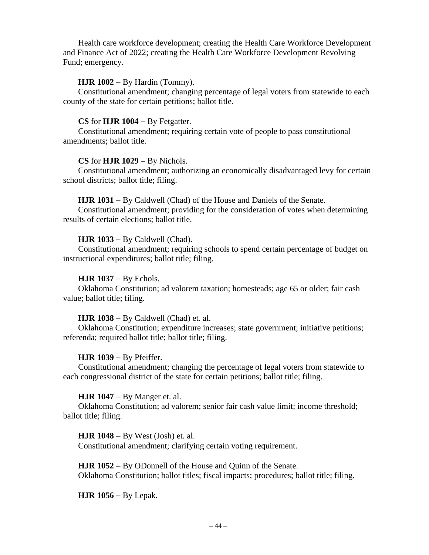Health care workforce development; creating the Health Care Workforce Development and Finance Act of 2022; creating the Health Care Workforce Development Revolving Fund; emergency.

# **HJR 1002** − By Hardin (Tommy).

Constitutional amendment; changing percentage of legal voters from statewide to each county of the state for certain petitions; ballot title.

# **CS** for **HJR 1004** − By Fetgatter.

Constitutional amendment; requiring certain vote of people to pass constitutional amendments; ballot title.

# **CS** for **HJR 1029** − By Nichols.

Constitutional amendment; authorizing an economically disadvantaged levy for certain school districts; ballot title; filing.

# **HJR 1031** − By Caldwell (Chad) of the House and Daniels of the Senate.

Constitutional amendment; providing for the consideration of votes when determining results of certain elections; ballot title.

# **HJR 1033** − By Caldwell (Chad).

Constitutional amendment; requiring schools to spend certain percentage of budget on instructional expenditures; ballot title; filing.

# **HJR 1037** − By Echols.

Oklahoma Constitution; ad valorem taxation; homesteads; age 65 or older; fair cash value; ballot title; filing.

# **HJR 1038** − By Caldwell (Chad) et. al.

Oklahoma Constitution; expenditure increases; state government; initiative petitions; referenda; required ballot title; ballot title; filing.

# **HJR 1039** − By Pfeiffer.

Constitutional amendment; changing the percentage of legal voters from statewide to each congressional district of the state for certain petitions; ballot title; filing.

# **HJR 1047** − By Manger et. al.

Oklahoma Constitution; ad valorem; senior fair cash value limit; income threshold; ballot title; filing.

**HJR 1048** − By West (Josh) et. al. Constitutional amendment; clarifying certain voting requirement.

**HJR 1052** − By ODonnell of the House and Quinn of the Senate. Oklahoma Constitution; ballot titles; fiscal impacts; procedures; ballot title; filing.

**HJR 1056** − By Lepak.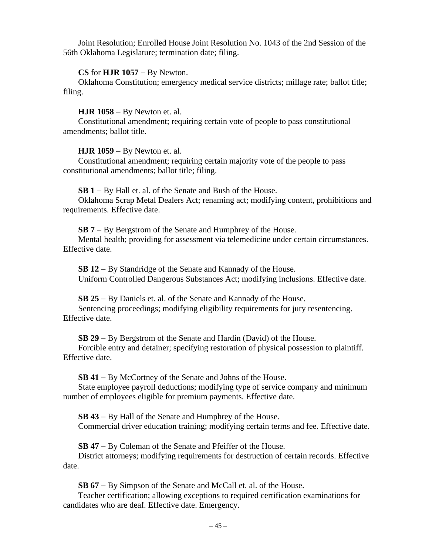Joint Resolution; Enrolled House Joint Resolution No. 1043 of the 2nd Session of the 56th Oklahoma Legislature; termination date; filing.

## **CS** for **HJR 1057** − By Newton.

Oklahoma Constitution; emergency medical service districts; millage rate; ballot title; filing.

## **HJR 1058** − By Newton et. al.

Constitutional amendment; requiring certain vote of people to pass constitutional amendments; ballot title.

## **HJR 1059** − By Newton et. al.

Constitutional amendment; requiring certain majority vote of the people to pass constitutional amendments; ballot title; filing.

**SB 1** − By Hall et. al. of the Senate and Bush of the House.

Oklahoma Scrap Metal Dealers Act; renaming act; modifying content, prohibitions and requirements. Effective date.

**SB 7** − By Bergstrom of the Senate and Humphrey of the House. Mental health; providing for assessment via telemedicine under certain circumstances. Effective date.

**SB 12** − By Standridge of the Senate and Kannady of the House. Uniform Controlled Dangerous Substances Act; modifying inclusions. Effective date.

**SB 25** − By Daniels et. al. of the Senate and Kannady of the House. Sentencing proceedings; modifying eligibility requirements for jury resentencing. Effective date.

**SB 29** − By Bergstrom of the Senate and Hardin (David) of the House.

Forcible entry and detainer; specifying restoration of physical possession to plaintiff. Effective date.

**SB 41** − By McCortney of the Senate and Johns of the House.

State employee payroll deductions; modifying type of service company and minimum number of employees eligible for premium payments. Effective date.

**SB 43** − By Hall of the Senate and Humphrey of the House. Commercial driver education training; modifying certain terms and fee. Effective date.

**SB 47** − By Coleman of the Senate and Pfeiffer of the House.

District attorneys; modifying requirements for destruction of certain records. Effective date.

**SB 67** − By Simpson of the Senate and McCall et. al. of the House.

Teacher certification; allowing exceptions to required certification examinations for candidates who are deaf. Effective date. Emergency.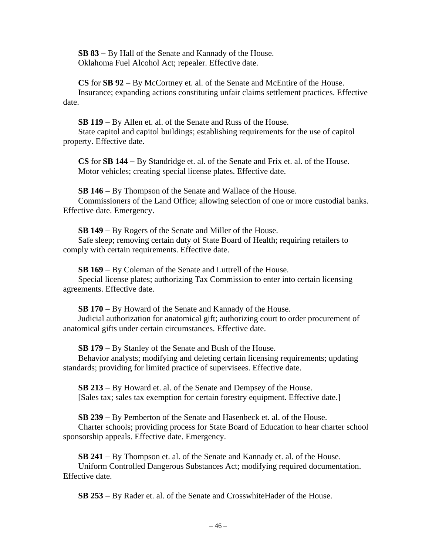**SB 83** − By Hall of the Senate and Kannady of the House. Oklahoma Fuel Alcohol Act; repealer. Effective date.

**CS** for **SB 92** − By McCortney et. al. of the Senate and McEntire of the House. Insurance; expanding actions constituting unfair claims settlement practices. Effective date.

**SB 119** − By Allen et. al. of the Senate and Russ of the House.

State capitol and capitol buildings; establishing requirements for the use of capitol property. Effective date.

**CS** for **SB 144** − By Standridge et. al. of the Senate and Frix et. al. of the House. Motor vehicles; creating special license plates. Effective date.

**SB 146** − By Thompson of the Senate and Wallace of the House. Commissioners of the Land Office; allowing selection of one or more custodial banks. Effective date. Emergency.

**SB 149** − By Rogers of the Senate and Miller of the House. Safe sleep; removing certain duty of State Board of Health; requiring retailers to

comply with certain requirements. Effective date.

**SB 169** − By Coleman of the Senate and Luttrell of the House.

Special license plates; authorizing Tax Commission to enter into certain licensing agreements. Effective date.

**SB 170** − By Howard of the Senate and Kannady of the House.

Judicial authorization for anatomical gift; authorizing court to order procurement of anatomical gifts under certain circumstances. Effective date.

**SB 179** − By Stanley of the Senate and Bush of the House.

Behavior analysts; modifying and deleting certain licensing requirements; updating standards; providing for limited practice of supervisees. Effective date.

**SB 213** − By Howard et. al. of the Senate and Dempsey of the House. [Sales tax; sales tax exemption for certain forestry equipment. Effective date.]

**SB 239** − By Pemberton of the Senate and Hasenbeck et. al. of the House.

Charter schools; providing process for State Board of Education to hear charter school sponsorship appeals. Effective date. Emergency.

**SB 241** − By Thompson et. al. of the Senate and Kannady et. al. of the House.

Uniform Controlled Dangerous Substances Act; modifying required documentation. Effective date.

**SB 253** − By Rader et. al. of the Senate and CrosswhiteHader of the House.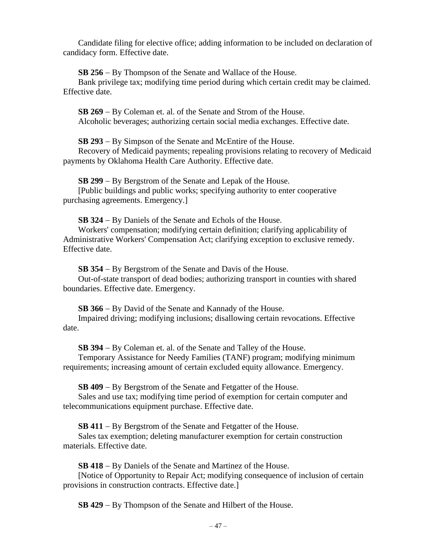Candidate filing for elective office; adding information to be included on declaration of candidacy form. Effective date.

**SB 256** − By Thompson of the Senate and Wallace of the House.

Bank privilege tax; modifying time period during which certain credit may be claimed. Effective date.

**SB 269** − By Coleman et. al. of the Senate and Strom of the House. Alcoholic beverages; authorizing certain social media exchanges. Effective date.

**SB 293** − By Simpson of the Senate and McEntire of the House.

Recovery of Medicaid payments; repealing provisions relating to recovery of Medicaid payments by Oklahoma Health Care Authority. Effective date.

**SB 299** − By Bergstrom of the Senate and Lepak of the House. [Public buildings and public works; specifying authority to enter cooperative purchasing agreements. Emergency.]

**SB 324** − By Daniels of the Senate and Echols of the House.

Workers' compensation; modifying certain definition; clarifying applicability of Administrative Workers' Compensation Act; clarifying exception to exclusive remedy. Effective date.

**SB 354** − By Bergstrom of the Senate and Davis of the House.

Out-of-state transport of dead bodies; authorizing transport in counties with shared boundaries. Effective date. Emergency.

**SB 366** − By David of the Senate and Kannady of the House.

Impaired driving; modifying inclusions; disallowing certain revocations. Effective date.

**SB 394** − By Coleman et. al. of the Senate and Talley of the House.

Temporary Assistance for Needy Families (TANF) program; modifying minimum requirements; increasing amount of certain excluded equity allowance. Emergency.

**SB 409** − By Bergstrom of the Senate and Fetgatter of the House.

Sales and use tax; modifying time period of exemption for certain computer and telecommunications equipment purchase. Effective date.

**SB 411** − By Bergstrom of the Senate and Fetgatter of the House.

Sales tax exemption; deleting manufacturer exemption for certain construction materials. Effective date.

**SB 418** − By Daniels of the Senate and Martinez of the House.

[Notice of Opportunity to Repair Act; modifying consequence of inclusion of certain provisions in construction contracts. Effective date.]

**SB 429** − By Thompson of the Senate and Hilbert of the House.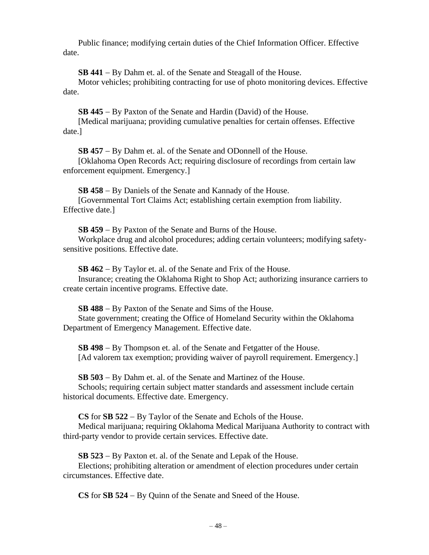Public finance; modifying certain duties of the Chief Information Officer. Effective date.

**SB 441** − By Dahm et. al. of the Senate and Steagall of the House.

Motor vehicles; prohibiting contracting for use of photo monitoring devices. Effective date.

**SB 445** − By Paxton of the Senate and Hardin (David) of the House.

[Medical marijuana; providing cumulative penalties for certain offenses. Effective date.]

**SB 457** − By Dahm et. al. of the Senate and ODonnell of the House. [Oklahoma Open Records Act; requiring disclosure of recordings from certain law enforcement equipment. Emergency.]

**SB 458** − By Daniels of the Senate and Kannady of the House. [Governmental Tort Claims Act; establishing certain exemption from liability. Effective date.]

**SB 459** − By Paxton of the Senate and Burns of the House. Workplace drug and alcohol procedures; adding certain volunteers; modifying safetysensitive positions. Effective date.

**SB 462** − By Taylor et. al. of the Senate and Frix of the House.

Insurance; creating the Oklahoma Right to Shop Act; authorizing insurance carriers to create certain incentive programs. Effective date.

**SB 488** − By Paxton of the Senate and Sims of the House. State government; creating the Office of Homeland Security within the Oklahoma Department of Emergency Management. Effective date.

**SB 498** − By Thompson et. al. of the Senate and Fetgatter of the House. [Ad valorem tax exemption; providing waiver of payroll requirement. Emergency.]

**SB 503** − By Dahm et. al. of the Senate and Martinez of the House.

Schools; requiring certain subject matter standards and assessment include certain historical documents. Effective date. Emergency.

**CS** for **SB 522** − By Taylor of the Senate and Echols of the House.

Medical marijuana; requiring Oklahoma Medical Marijuana Authority to contract with third-party vendor to provide certain services. Effective date.

**SB 523** − By Paxton et. al. of the Senate and Lepak of the House.

Elections; prohibiting alteration or amendment of election procedures under certain circumstances. Effective date.

**CS** for **SB 524** − By Quinn of the Senate and Sneed of the House.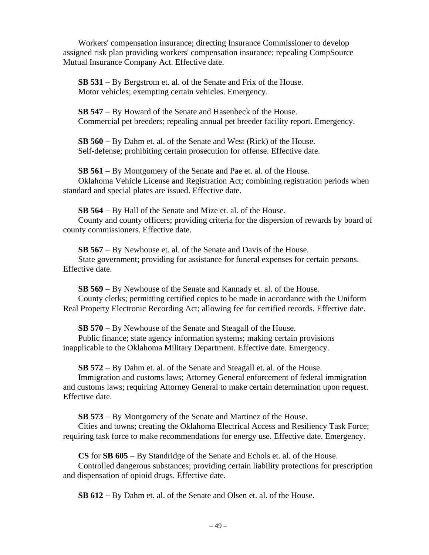Workers' compensation insurance; directing Insurance Commissioner to develop assigned risk plan providing workers' compensation insurance; repealing CompSource Mutual Insurance Company Act. Effective date.

**SB 531** − By Bergstrom et. al. of the Senate and Frix of the House. Motor vehicles; exempting certain vehicles. Emergency.

**SB 547** − By Howard of the Senate and Hasenbeck of the House. Commercial pet breeders; repealing annual pet breeder facility report. Emergency.

**SB 560** − By Dahm et. al. of the Senate and West (Rick) of the House. Self-defense; prohibiting certain prosecution for offense. Effective date.

**SB 561** − By Montgomery of the Senate and Pae et. al. of the House. Oklahoma Vehicle License and Registration Act; combining registration periods when standard and special plates are issued. Effective date.

**SB 564** − By Hall of the Senate and Mize et. al. of the House. County and county officers; providing criteria for the dispersion of rewards by board of county commissioners. Effective date.

**SB 567** − By Newhouse et. al. of the Senate and Davis of the House. State government; providing for assistance for funeral expenses for certain persons. Effective date.

**SB 569** − By Newhouse of the Senate and Kannady et. al. of the House. County clerks; permitting certified copies to be made in accordance with the Uniform Real Property Electronic Recording Act; allowing fee for certified records. Effective date.

**SB 570** − By Newhouse of the Senate and Steagall of the House.

Public finance; state agency information systems; making certain provisions inapplicable to the Oklahoma Military Department. Effective date. Emergency.

**SB 572** − By Dahm et. al. of the Senate and Steagall et. al. of the House.

Immigration and customs laws; Attorney General enforcement of federal immigration and customs laws; requiring Attorney General to make certain determination upon request. Effective date.

**SB 573** − By Montgomery of the Senate and Martinez of the House.

Cities and towns; creating the Oklahoma Electrical Access and Resiliency Task Force; requiring task force to make recommendations for energy use. Effective date. Emergency.

**CS** for **SB 605** − By Standridge of the Senate and Echols et. al. of the House. Controlled dangerous substances; providing certain liability protections for prescription and dispensation of opioid drugs. Effective date.

**SB 612** − By Dahm et. al. of the Senate and Olsen et. al. of the House.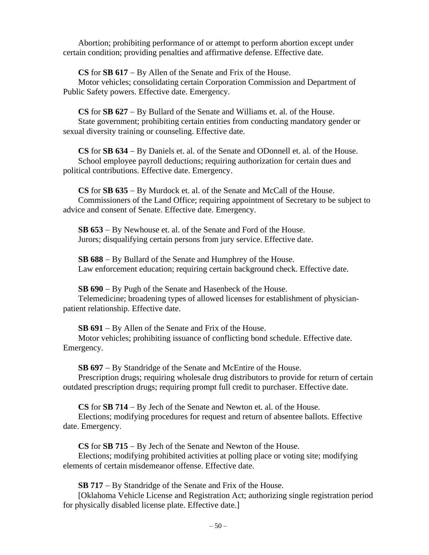Abortion; prohibiting performance of or attempt to perform abortion except under certain condition; providing penalties and affirmative defense. Effective date.

**CS** for **SB 617** − By Allen of the Senate and Frix of the House.

Motor vehicles; consolidating certain Corporation Commission and Department of Public Safety powers. Effective date. Emergency.

**CS** for **SB 627** − By Bullard of the Senate and Williams et. al. of the House. State government; prohibiting certain entities from conducting mandatory gender or sexual diversity training or counseling. Effective date.

**CS** for **SB 634** − By Daniels et. al. of the Senate and ODonnell et. al. of the House. School employee payroll deductions; requiring authorization for certain dues and political contributions. Effective date. Emergency.

**CS** for **SB 635** − By Murdock et. al. of the Senate and McCall of the House. Commissioners of the Land Office; requiring appointment of Secretary to be subject to advice and consent of Senate. Effective date. Emergency.

**SB 653** − By Newhouse et. al. of the Senate and Ford of the House. Jurors; disqualifying certain persons from jury service. Effective date.

**SB 688** − By Bullard of the Senate and Humphrey of the House. Law enforcement education; requiring certain background check. Effective date.

**SB 690** − By Pugh of the Senate and Hasenbeck of the House.

Telemedicine; broadening types of allowed licenses for establishment of physicianpatient relationship. Effective date.

**SB 691** − By Allen of the Senate and Frix of the House.

Motor vehicles; prohibiting issuance of conflicting bond schedule. Effective date. Emergency.

**SB 697** − By Standridge of the Senate and McEntire of the House.

Prescription drugs; requiring wholesale drug distributors to provide for return of certain outdated prescription drugs; requiring prompt full credit to purchaser. Effective date.

**CS** for **SB 714** − By Jech of the Senate and Newton et. al. of the House.

Elections; modifying procedures for request and return of absentee ballots. Effective date. Emergency.

**CS** for **SB 715** − By Jech of the Senate and Newton of the House.

Elections; modifying prohibited activities at polling place or voting site; modifying elements of certain misdemeanor offense. Effective date.

**SB 717** − By Standridge of the Senate and Frix of the House.

[Oklahoma Vehicle License and Registration Act; authorizing single registration period for physically disabled license plate. Effective date.]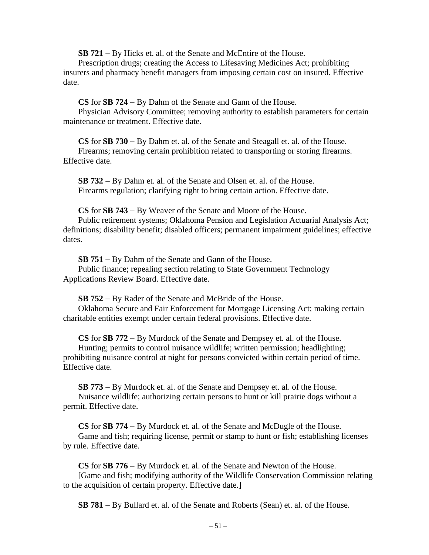**SB 721** − By Hicks et. al. of the Senate and McEntire of the House.

Prescription drugs; creating the Access to Lifesaving Medicines Act; prohibiting insurers and pharmacy benefit managers from imposing certain cost on insured. Effective date.

**CS** for **SB 724** − By Dahm of the Senate and Gann of the House.

Physician Advisory Committee; removing authority to establish parameters for certain maintenance or treatment. Effective date.

**CS** for **SB 730** − By Dahm et. al. of the Senate and Steagall et. al. of the House. Firearms; removing certain prohibition related to transporting or storing firearms. Effective date.

**SB 732** − By Dahm et. al. of the Senate and Olsen et. al. of the House. Firearms regulation; clarifying right to bring certain action. Effective date.

**CS** for **SB 743** − By Weaver of the Senate and Moore of the House.

Public retirement systems; Oklahoma Pension and Legislation Actuarial Analysis Act; definitions; disability benefit; disabled officers; permanent impairment guidelines; effective dates.

**SB 751** − By Dahm of the Senate and Gann of the House. Public finance; repealing section relating to State Government Technology Applications Review Board. Effective date.

**SB 752** − By Rader of the Senate and McBride of the House.

Oklahoma Secure and Fair Enforcement for Mortgage Licensing Act; making certain charitable entities exempt under certain federal provisions. Effective date.

**CS** for **SB 772** − By Murdock of the Senate and Dempsey et. al. of the House.

Hunting; permits to control nuisance wildlife; written permission; headlighting; prohibiting nuisance control at night for persons convicted within certain period of time. Effective date.

**SB 773** − By Murdock et. al. of the Senate and Dempsey et. al. of the House. Nuisance wildlife; authorizing certain persons to hunt or kill prairie dogs without a permit. Effective date.

**CS** for **SB 774** − By Murdock et. al. of the Senate and McDugle of the House. Game and fish; requiring license, permit or stamp to hunt or fish; establishing licenses by rule. Effective date.

**CS** for **SB 776** − By Murdock et. al. of the Senate and Newton of the House. [Game and fish; modifying authority of the Wildlife Conservation Commission relating to the acquisition of certain property. Effective date.]

**SB 781** − By Bullard et. al. of the Senate and Roberts (Sean) et. al. of the House.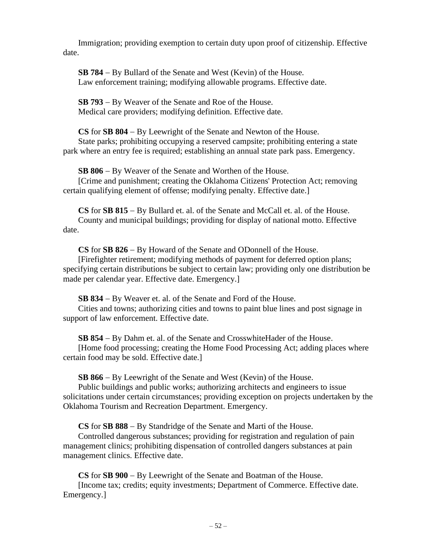Immigration; providing exemption to certain duty upon proof of citizenship. Effective date.

**SB 784** − By Bullard of the Senate and West (Kevin) of the House. Law enforcement training; modifying allowable programs. Effective date.

**SB 793** − By Weaver of the Senate and Roe of the House. Medical care providers; modifying definition. Effective date.

**CS** for **SB 804** − By Leewright of the Senate and Newton of the House. State parks; prohibiting occupying a reserved campsite; prohibiting entering a state park where an entry fee is required; establishing an annual state park pass. Emergency.

**SB 806** − By Weaver of the Senate and Worthen of the House. [Crime and punishment; creating the Oklahoma Citizens' Protection Act; removing certain qualifying element of offense; modifying penalty. Effective date.]

**CS** for **SB 815** − By Bullard et. al. of the Senate and McCall et. al. of the House. County and municipal buildings; providing for display of national motto. Effective date.

**CS** for **SB 826** − By Howard of the Senate and ODonnell of the House.

[Firefighter retirement; modifying methods of payment for deferred option plans; specifying certain distributions be subject to certain law; providing only one distribution be made per calendar year. Effective date. Emergency.]

**SB 834** − By Weaver et. al. of the Senate and Ford of the House. Cities and towns; authorizing cities and towns to paint blue lines and post signage in support of law enforcement. Effective date.

**SB 854** − By Dahm et. al. of the Senate and CrosswhiteHader of the House. [Home food processing; creating the Home Food Processing Act; adding places where certain food may be sold. Effective date.]

**SB 866** − By Leewright of the Senate and West (Kevin) of the House.

Public buildings and public works; authorizing architects and engineers to issue solicitations under certain circumstances; providing exception on projects undertaken by the Oklahoma Tourism and Recreation Department. Emergency.

**CS** for **SB 888** − By Standridge of the Senate and Marti of the House.

Controlled dangerous substances; providing for registration and regulation of pain management clinics; prohibiting dispensation of controlled dangers substances at pain management clinics. Effective date.

**CS** for **SB 900** − By Leewright of the Senate and Boatman of the House. [Income tax; credits; equity investments; Department of Commerce. Effective date. Emergency.]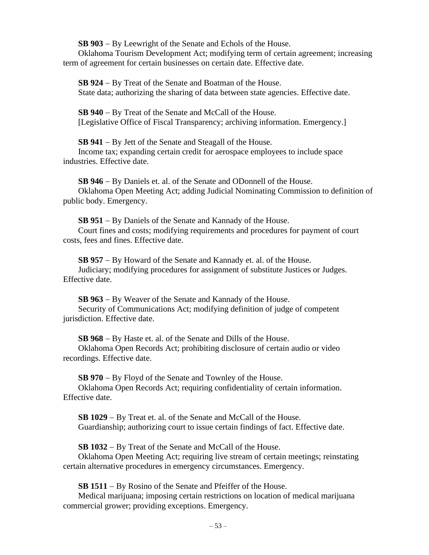**SB 903** − By Leewright of the Senate and Echols of the House.

Oklahoma Tourism Development Act; modifying term of certain agreement; increasing term of agreement for certain businesses on certain date. Effective date.

**SB 924** − By Treat of the Senate and Boatman of the House. State data; authorizing the sharing of data between state agencies. Effective date.

**SB 940** − By Treat of the Senate and McCall of the House. [Legislative Office of Fiscal Transparency; archiving information. Emergency.]

**SB 941** − By Jett of the Senate and Steagall of the House. Income tax; expanding certain credit for aerospace employees to include space industries. Effective date.

**SB 946** − By Daniels et. al. of the Senate and ODonnell of the House. Oklahoma Open Meeting Act; adding Judicial Nominating Commission to definition of public body. Emergency.

**SB 951** − By Daniels of the Senate and Kannady of the House. Court fines and costs; modifying requirements and procedures for payment of court costs, fees and fines. Effective date.

**SB 957** − By Howard of the Senate and Kannady et. al. of the House. Judiciary; modifying procedures for assignment of substitute Justices or Judges. Effective date.

**SB 963** − By Weaver of the Senate and Kannady of the House. Security of Communications Act; modifying definition of judge of competent jurisdiction. Effective date.

**SB 968** − By Haste et. al. of the Senate and Dills of the House. Oklahoma Open Records Act; prohibiting disclosure of certain audio or video recordings. Effective date.

**SB 970** − By Floyd of the Senate and Townley of the House. Oklahoma Open Records Act; requiring confidentiality of certain information.

Effective date.

**SB 1029** − By Treat et. al. of the Senate and McCall of the House. Guardianship; authorizing court to issue certain findings of fact. Effective date.

**SB 1032** − By Treat of the Senate and McCall of the House.

Oklahoma Open Meeting Act; requiring live stream of certain meetings; reinstating certain alternative procedures in emergency circumstances. Emergency.

**SB 1511** − By Rosino of the Senate and Pfeiffer of the House.

Medical marijuana; imposing certain restrictions on location of medical marijuana commercial grower; providing exceptions. Emergency.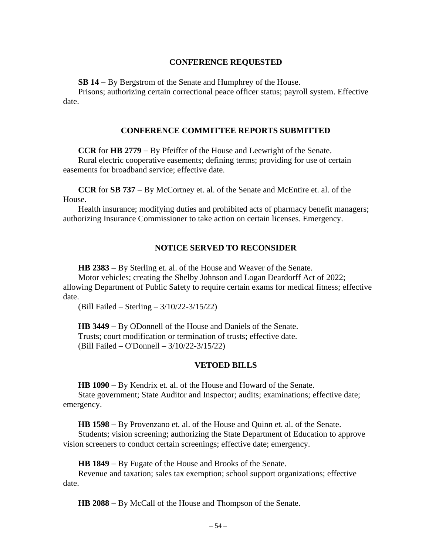## **CONFERENCE REQUESTED**

**SB 14** − By Bergstrom of the Senate and Humphrey of the House.

Prisons; authorizing certain correctional peace officer status; payroll system. Effective date.

## **CONFERENCE COMMITTEE REPORTS SUBMITTED**

**CCR** for **HB 2779** − By Pfeiffer of the House and Leewright of the Senate.

Rural electric cooperative easements; defining terms; providing for use of certain easements for broadband service; effective date.

**CCR** for **SB 737** − By McCortney et. al. of the Senate and McEntire et. al. of the House.

Health insurance; modifying duties and prohibited acts of pharmacy benefit managers; authorizing Insurance Commissioner to take action on certain licenses. Emergency.

## **NOTICE SERVED TO RECONSIDER**

**HB 2383** − By Sterling et. al. of the House and Weaver of the Senate.

Motor vehicles; creating the Shelby Johnson and Logan Deardorff Act of 2022; allowing Department of Public Safety to require certain exams for medical fitness; effective date.

(Bill Failed – Sterling – 3/10/22-3/15/22)

**HB 3449** − By ODonnell of the House and Daniels of the Senate. Trusts; court modification or termination of trusts; effective date. (Bill Failed – O'Donnell – 3/10/22-3/15/22)

#### **VETOED BILLS**

**HB 1090** − By Kendrix et. al. of the House and Howard of the Senate.

State government; State Auditor and Inspector; audits; examinations; effective date; emergency.

**HB 1598** − By Provenzano et. al. of the House and Quinn et. al. of the Senate.

Students; vision screening; authorizing the State Department of Education to approve vision screeners to conduct certain screenings; effective date; emergency.

**HB 1849** − By Fugate of the House and Brooks of the Senate.

Revenue and taxation; sales tax exemption; school support organizations; effective date.

**HB 2088** − By McCall of the House and Thompson of the Senate.